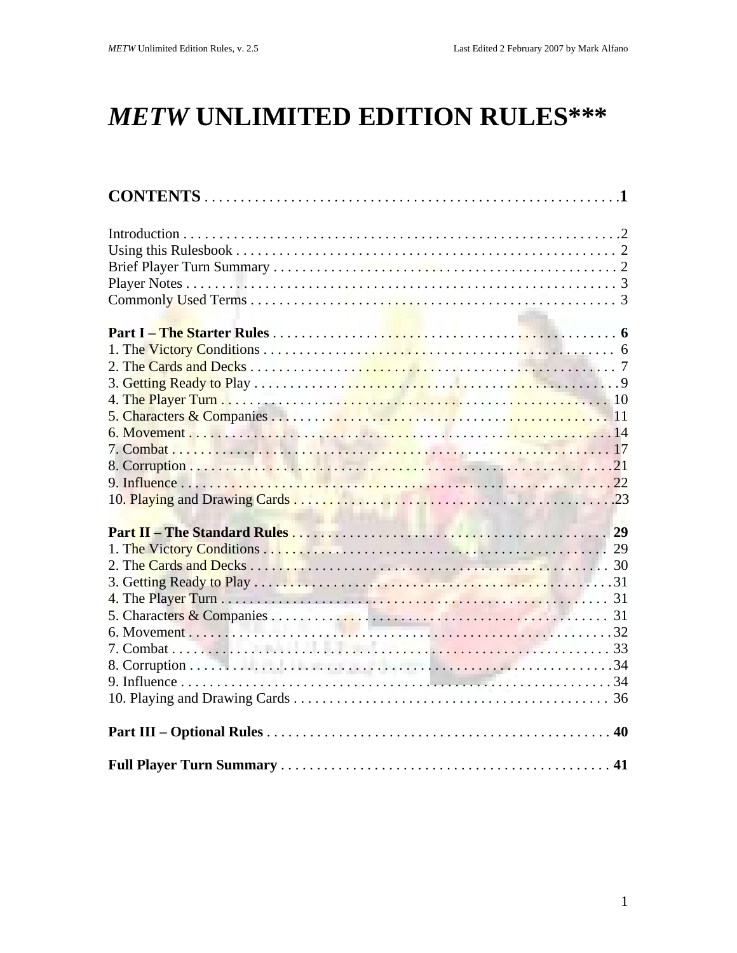# **METW UNLIMITED EDITION RULES\*\*\***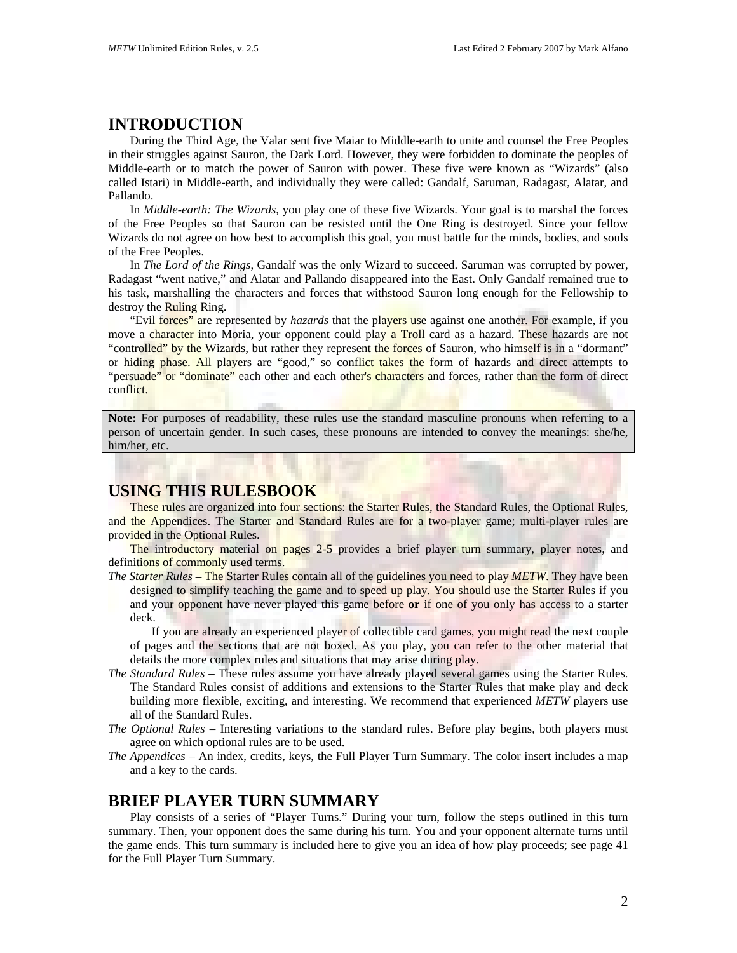# **INTRODUCTION**

During the Third Age, the Valar sent five Maiar to Middle-earth to unite and counsel the Free Peoples in their struggles against Sauron, the Dark Lord. However, they were forbidden to dominate the peoples of Middle-earth or to match the power of Sauron with power. These five were known as "Wizards" (also called Istari) in Middle-earth, and individually they were called: Gandalf, Saruman, Radagast, Alatar, and Pallando.

In *Middle-earth: The Wizards*, you play one of these five Wizards. Your goal is to marshal the forces of the Free Peoples so that Sauron can be resisted until the One Ring is destroyed. Since your fellow Wizards do not agree on how best to accomplish this goal, you must battle for the minds, bodies, and souls of the Free Peoples.

In *The Lord of the Rings*, Gandalf was the only Wizard to succeed. Saruman was corrupted by power, Radagast "went native," and Alatar and Pallando disappeared into the East. Only Gandalf remained true to his task, marshalling the characters and forces that withstood Sauron long enough for the Fellowship to destroy the Ruling Ring.

"Evil forces" are represented by *hazards* that the players use against one another. For example, if you move a character into Moria, your opponent could play a Troll card as a hazard. These hazards are not "controlled" by the Wizards, but rather they represent the forces of Sauron, who himself is in a "dormant" or hiding phase. All players are "good," so conflict takes the form of hazards and direct attempts to "persuade" or "dominate" each other and each other's characters and forces, rather than the form of direct conflict.

**Note:** For purposes of readability, these rules use the standard masculine pronouns when referring to a person of uncertain gender. In such cases, these pronouns are intended to convey the meanings: she/he, him/her, etc.

# **USING THIS RULESBOOK**

These rules are organized into four sections: the Starter Rules, the Standard Rules, the Optional Rules, and the Appendices. The Starter and Standard Rules are for a two-player game; multi-player rules are provided in the Optional Rules.

The introductory material on pages 2-5 provides a brief player turn summary, player notes, and definitions of commonly used terms.

*The Starter Rules* – The Starter Rules contain all of the guidelines you need to play *METW*. They have been designed to simplify teaching the game and to speed up play. You should use the Starter Rules if you and your opponent have never played this game before **or** if one of you only has access to a starter deck.

If you are already an experienced player of collectible card games, you might read the next couple of pages and the sections that are not boxed. As you play, you can refer to the other material that details the more complex rules and situations that may arise during play.

- *The Standard Rules* These rules assume you have already played several games using the Starter Rules. The Standard Rules consist of additions and extensions to the Starter Rules that make play and deck building more flexible, exciting, and interesting. We recommend that experienced *METW* players use all of the Standard Rules.
- *The Optional Rules* Interesting variations to the standard rules. Before play begins, both players must agree on which optional rules are to be used.
- *The Appendices* An index, credits, keys, the Full Player Turn Summary. The color insert includes a map and a key to the cards.

# **BRIEF PLAYER TURN SUMMARY**

Play consists of a series of "Player Turns." During your turn, follow the steps outlined in this turn summary. Then, your opponent does the same during his turn. You and your opponent alternate turns until the game ends. This turn summary is included here to give you an idea of how play proceeds; see page 41 for the Full Player Turn Summary.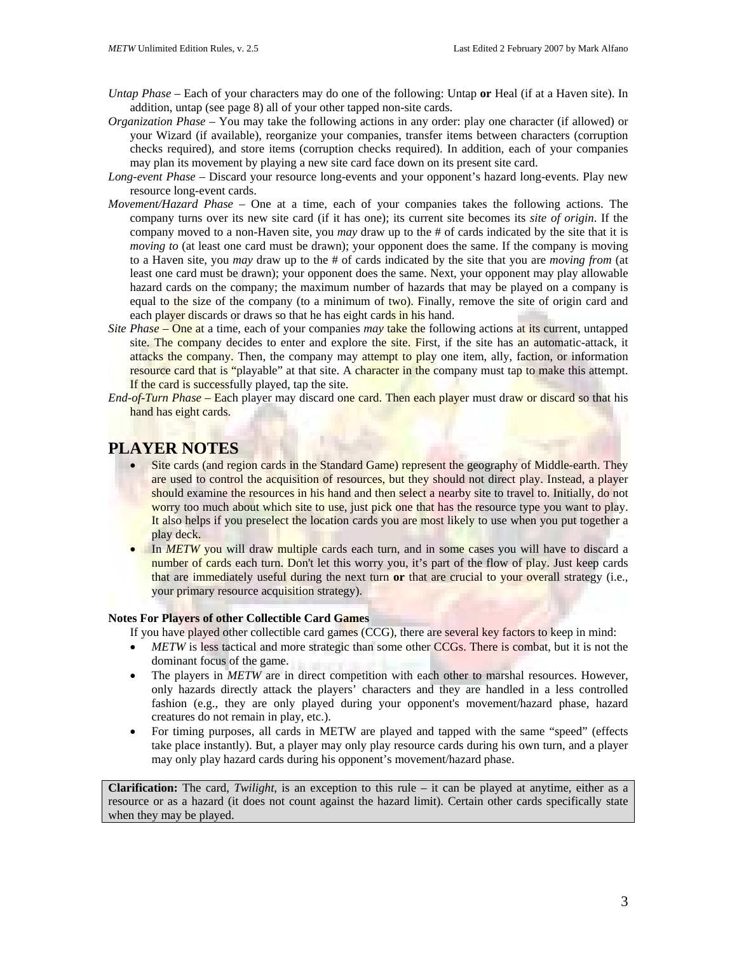- *Untap Phase* Each of your characters may do one of the following: Untap **or** Heal (if at a Haven site). In addition, untap (see page 8) all of your other tapped non-site cards.
- *Organization Phase* You may take the following actions in any order: play one character (if allowed) or your Wizard (if available), reorganize your companies, transfer items between characters (corruption checks required), and store items (corruption checks required). In addition, each of your companies may plan its movement by playing a new site card face down on its present site card.
- *Long-event Phase* Discard your resource long-events and your opponent's hazard long-events. Play new resource long-event cards.
- *Movement/Hazard Phase* One at a time, each of your companies takes the following actions. The company turns over its new site card (if it has one); its current site becomes its *site of origin*. If the company moved to a non-Haven site, you *may* draw up to the # of cards indicated by the site that it is *moving to* (at least one card must be drawn); your opponent does the same. If the company is moving to a Haven site, you *may* draw up to the # of cards indicated by the site that you are *moving from* (at least one card must be drawn); your opponent does the same. Next, your opponent may play allowable hazard cards on the company; the maximum number of hazards that may be played on a company is equal to the size of the company (to a minimum of two). Finally, remove the site of origin card and each player discards or draws so that he has eight cards in his hand.
- *Site Phase* One at a time, each of your companies *may* take the following actions at its current, untapped site. The company decides to enter and explore the site. First, if the site has an automatic-attack, it attacks the company. Then, the company may attempt to play one item, ally, faction, or information resource card that is "playable" at that site. A character in the company must tap to make this attempt. If the card is successfully played, tap the site.
- *End-of-Turn Phase* Each player may discard one card. Then each player must draw or discard so that his hand has eight cards.

# **PLAYER NOTES**

- Site cards (and region cards in the Standard Game) represent the geography of Middle-earth. They are used to control the acquisition of resources, but they should not direct play. Instead, a player should examine the resources in his hand and then select a nearby site to travel to. Initially, do not worry too much about which site to use, just pick one that has the resource type you want to play. It also helps if you preselect the location cards you are most likely to use when you put together a play deck.
- In *METW* you will draw multiple cards each turn, and in some cases you will have to discard a number of cards each turn. Don't let this worry you, it's part of the flow of play. Just keep cards that are immediately useful during the next turn **or** that are crucial to your overall strategy (i.e., your primary resource acquisition strategy).

## **Notes For Players of other Collectible Card Games**

If you have played other collectible card games (CCG), there are several key factors to keep in mind:

- *METW* is less tactical and more strategic than some other CCGs. There is combat, but it is not the dominant focus of the game.
- The players in *METW* are in direct competition with each other to marshal resources. However, only hazards directly attack the players' characters and they are handled in a less controlled fashion (e.g., they are only played during your opponent's movement/hazard phase, hazard creatures do not remain in play, etc.).
- For timing purposes, all cards in METW are played and tapped with the same "speed" (effects take place instantly). But, a player may only play resource cards during his own turn, and a player may only play hazard cards during his opponent's movement/hazard phase.

**Clarification:** The card, *Twilight*, is an exception to this rule – it can be played at anytime, either as a resource or as a hazard (it does not count against the hazard limit). Certain other cards specifically state when they may be played.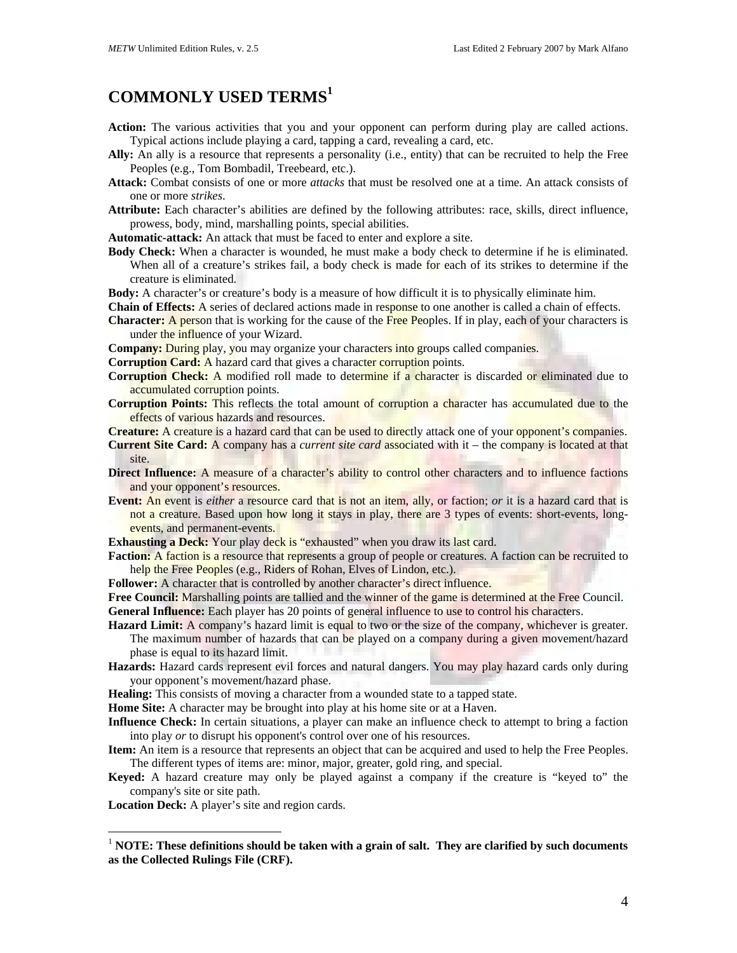# **COMMONLY USED TERMS[1](#page-3-0)**

- **Action:** The various activities that you and your opponent can perform during play are called actions. Typical actions include playing a card, tapping a card, revealing a card, etc.
- **Ally:** An ally is a resource that represents a personality (i.e., entity) that can be recruited to help the Free Peoples (e.g., Tom Bombadil, Treebeard, etc.).
- **Attack:** Combat consists of one or more *attacks* that must be resolved one at a time. An attack consists of one or more *strikes*.
- **Attribute:** Each character's abilities are defined by the following attributes: race, skills, direct influence, prowess, body, mind, marshalling points, special abilities.

**Automatic-attack:** An attack that must be faced to enter and explore a site.

- **Body Check:** When a character is wounded, he must make a body check to determine if he is eliminated. When all of a creature's strikes fail, a body check is made for each of its strikes to determine if the creature is eliminated.
- **Body:** A character's or creature's body is a measure of how difficult it is to physically eliminate him.
- **Chain of Effects:** A series of declared actions made in response to one another is called a chain of effects.
- **Character:** A person that is working for the cause of the Free Peoples. If in play, each of your characters is under the influence of your Wizard.
- **Company:** During play, you may organize your characters into groups called companies.
- **Corruption Card:** A hazard card that gives a character corruption points.
- **Corruption Check:** A modified roll made to determine if a character is discarded or eliminated due to accumulated corruption points.
- **Corruption Points:** This reflects the total amount of corruption a character has accumulated due to the effects of various hazards and resources.

**Creature:** A creature is a hazard card that can be used to directly attack one of your opponent's companies.

- **Current Site Card:** A company has a *current site card* associated with it the company is located at that site.
- **Direct Influence:** A measure of a character's ability to control other characters and to influence factions and your opponent's resources.
- **Event:** An event is *either* a resource card that is not an item, ally, or faction; *or* it is a hazard card that is not a creature. Based upon how long it stays in play, there are 3 types of events: short-events, longevents, and permanent-events.
- **Exhausting a Deck:** Your play deck is "exhausted" when you draw its last card.
- **Faction:** A faction is a resource that represents a group of people or creatures. A faction can be recruited to help the Free Peoples (e.g., Riders of Rohan, Elves of Lindon, etc.).
- Follower: A character that is controlled by another character's direct influence.

**Free Council:** Marshalling points are tallied and the winner of the game is determined at the Free Council. **General Influence:** Each player has 20 points of general influence to use to control his characters.

- 
- **Hazard Limit:** A company's hazard limit is equal to two or the size of the company, whichever is greater. The maximum number of hazards that can be played on a company during a given movement/hazard phase is equal to its hazard limit.
- **Hazards:** Hazard cards represent evil forces and natural dangers. You may play hazard cards only during your opponent's movement/hazard phase.
- Healing: This consists of moving a character from a wounded state to a tapped state.

**Home Site:** A character may be brought into play at his home site or at a Haven.

- **Influence Check:** In certain situations, a player can make an influence check to attempt to bring a faction into play *or* to disrupt his opponent's control over one of his resources.
- **Item:** An item is a resource that represents an object that can be acquired and used to help the Free Peoples. The different types of items are: minor, major, greater, gold ring, and special.
- **Keyed:** A hazard creature may only be played against a company if the creature is "keyed to" the company's site or site path.
- **Location Deck:** A player's site and region cards.

 $\overline{a}$ 

<span id="page-3-0"></span><sup>1</sup> **NOTE: These definitions should be taken with a grain of salt. They are clarified by such documents as the Collected Rulings File (CRF).**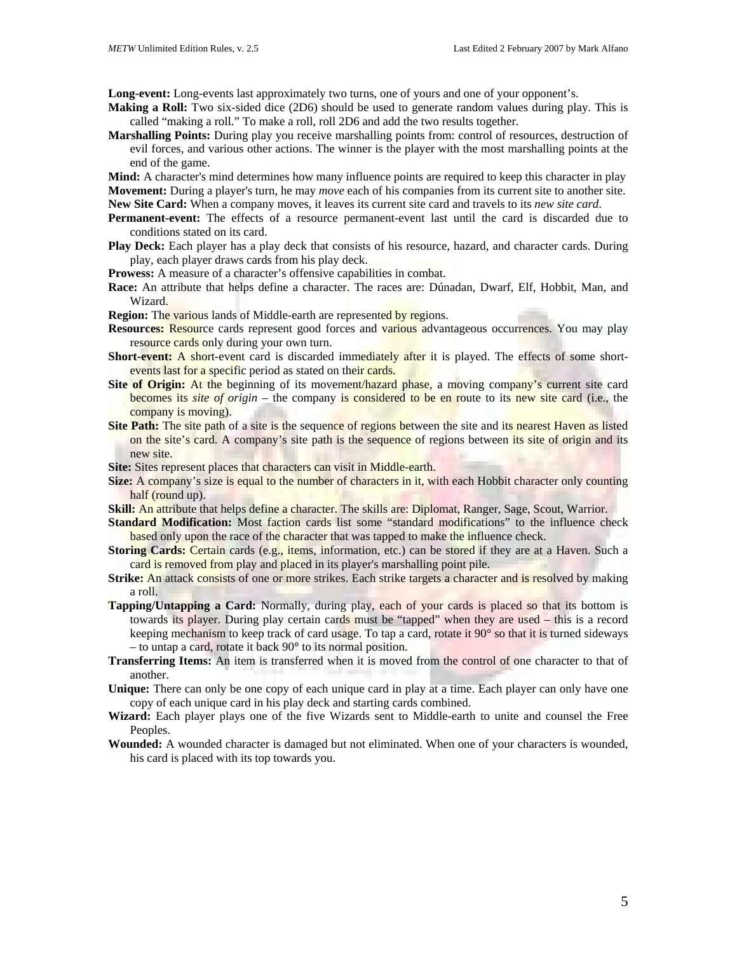**Long-event:** Long-events last approximately two turns, one of yours and one of your opponent's.

- **Making a Roll:** Two six-sided dice (2D6) should be used to generate random values during play. This is called "making a roll." To make a roll, roll 2D6 and add the two results together.
- **Marshalling Points:** During play you receive marshalling points from: control of resources, destruction of evil forces, and various other actions. The winner is the player with the most marshalling points at the end of the game.
- **Mind:** A character's mind determines how many influence points are required to keep this character in play **Movement:** During a player's turn, he may *move* each of his companies from its current site to another site.

**New Site Card:** When a company moves, it leaves its current site card and travels to its *new site card*.

- **Permanent-event:** The effects of a resource permanent-event last until the card is discarded due to conditions stated on its card.
- **Play Deck:** Each player has a play deck that consists of his resource, hazard, and character cards. During play, each player draws cards from his play deck.
- **Prowess:** A measure of a character's offensive capabilities in combat.
- **Race:** An attribute that helps define a character. The races are: Dúnadan, Dwarf, Elf, Hobbit, Man, and Wizard.

**Region:** The various lands of Middle-earth are represented by regions.

- **Resources:** Resource cards represent good forces and various advantageous occurrences. You may play resource cards only during your own turn.
- Short-event: A short-event card is discarded immediately after it is played. The effects of some shortevents last for a specific period as stated on their cards.
- Site of Origin: At the beginning of its movement/hazard phase, a moving company's current site card becomes its *site of origin* – the company is considered to be en route to its new site card (i.e., the company is moving).
- **Site Path:** The site path of a site is the sequence of regions between the site and its nearest Haven as listed on the site's card. A company's site path is the sequence of regions between its site of origin and its new site.

**Site:** Sites represent places that characters can visit in Middle-earth.

- **Size:** A company's size is equal to the number of characters in it, with each Hobbit character only counting half (round up).
- **Skill:** An attribute that helps define a character. The skills are: Diplomat, Ranger, Sage, Scout, Warrior.
- Standard Modification: Most faction cards list some "standard modifications" to the influence check based only upon the race of the character that was tapped to make the influence check.
- **Storing Cards:** Certain cards (e.g., items, information, etc.) can be stored if they are at a Haven. Such a card is removed from play and placed in its player's marshalling point pile.
- **Strike:** An attack consists of one or more strikes. Each strike targets a character and is resolved by making a roll.
- **Tapping/Untapping a Card:** Normally, during play, each of your cards is placed so that its bottom is towards its player. During play certain cards must be "tapped" when they are used – this is a record keeping mechanism to keep track of card usage. To tap a card, rotate it 90° so that it is turned sideways – to untap a card, rotate it back 90° to its normal position.
- **Transferring Items:** An item is transferred when it is moved from the control of one character to that of another.
- **Unique:** There can only be one copy of each unique card in play at a time. Each player can only have one copy of each unique card in his play deck and starting cards combined.
- **Wizard:** Each player plays one of the five Wizards sent to Middle-earth to unite and counsel the Free Peoples.
- **Wounded:** A wounded character is damaged but not eliminated. When one of your characters is wounded, his card is placed with its top towards you.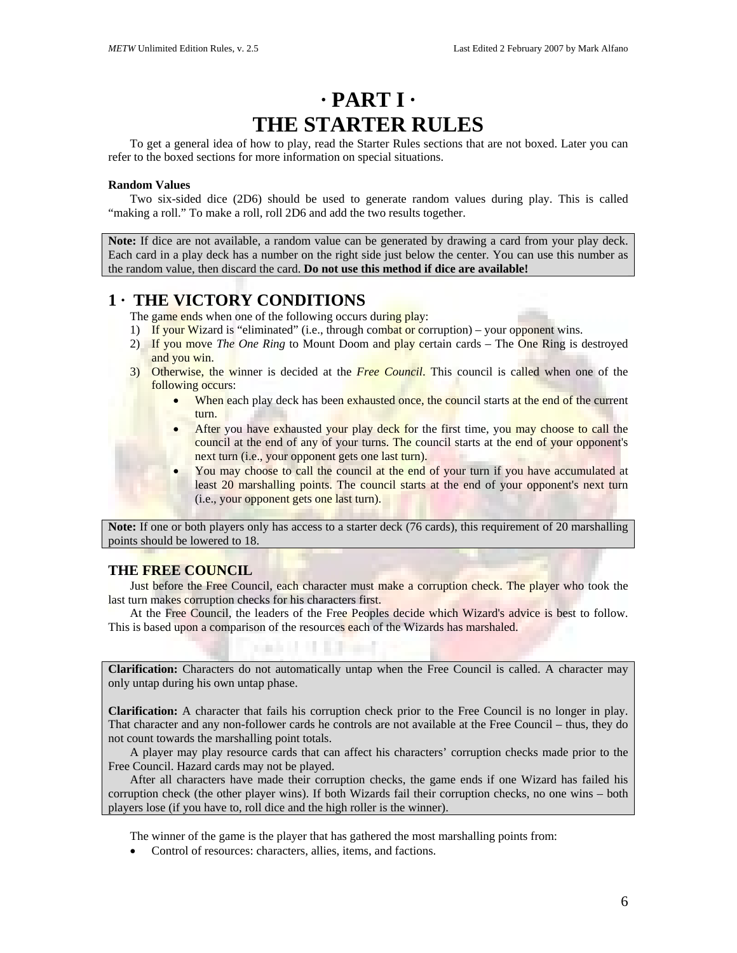# **· PART I · THE STARTER RULES**

To get a general idea of how to play, read the Starter Rules sections that are not boxed. Later you can refer to the boxed sections for more information on special situations.

## **Random Values**

Two six-sided dice (2D6) should be used to generate random values during play. This is called "making a roll." To make a roll, roll 2D6 and add the two results together.

**Note:** If dice are not available, a random value can be generated by drawing a card from your play deck. Each card in a play deck has a number on the right side just below the center. You can use this number as the random value, then discard the card. **Do not use this method if dice are available!**

# **1 · THE VICTORY CONDITIONS**

The game ends when one of the following occurs during play:

- 1) If your Wizard is "eliminated" (i.e., through combat or corruption) your opponent wins.
- 2) If you move *The One Ring* to Mount Doom and play certain cards The One Ring is destroyed and you win.
- 3) Otherwise, the winner is decided at the *Free Council*. This council is called when one of the following occurs:
	- When each play deck has been exhausted once, the council starts at the end of the current turn.
	- After you have exhausted your play deck for the first time, you may choose to call the council at the end of any of your turns. The council starts at the end of your opponent's next turn (i.e., your opponent gets one last turn).
	- You may choose to call the council at the end of your turn if you have accumulated at least 20 marshalling points. The council starts at the end of your opponent's next turn (i.e., your opponent gets one last turn).

**Note:** If one or both players only has access to a starter deck (76 cards), this requirement of 20 marshalling points should be lowered to 18.

## **THE FREE COUNCIL**

Just before the Free Council, each character must make a corruption check. The player who took the last turn makes corruption checks for his characters first.

At the Free Council, the leaders of the Free Peoples decide which Wizard's advice is best to follow. This is based upon a comparison of the resources each of the Wizards has marshaled.

**CARD IS IN THE TABLE** 

**Clarification:** Characters do not automatically untap when the Free Council is called. A character may only untap during his own untap phase.

**Clarification:** A character that fails his corruption check prior to the Free Council is no longer in play. That character and any non-follower cards he controls are not available at the Free Council – thus, they do not count towards the marshalling point totals.

A player may play resource cards that can affect his characters' corruption checks made prior to the Free Council. Hazard cards may not be played.

After all characters have made their corruption checks, the game ends if one Wizard has failed his corruption check (the other player wins). If both Wizards fail their corruption checks, no one wins – both players lose (if you have to, roll dice and the high roller is the winner).

The winner of the game is the player that has gathered the most marshalling points from:

• Control of resources: characters, allies, items, and factions.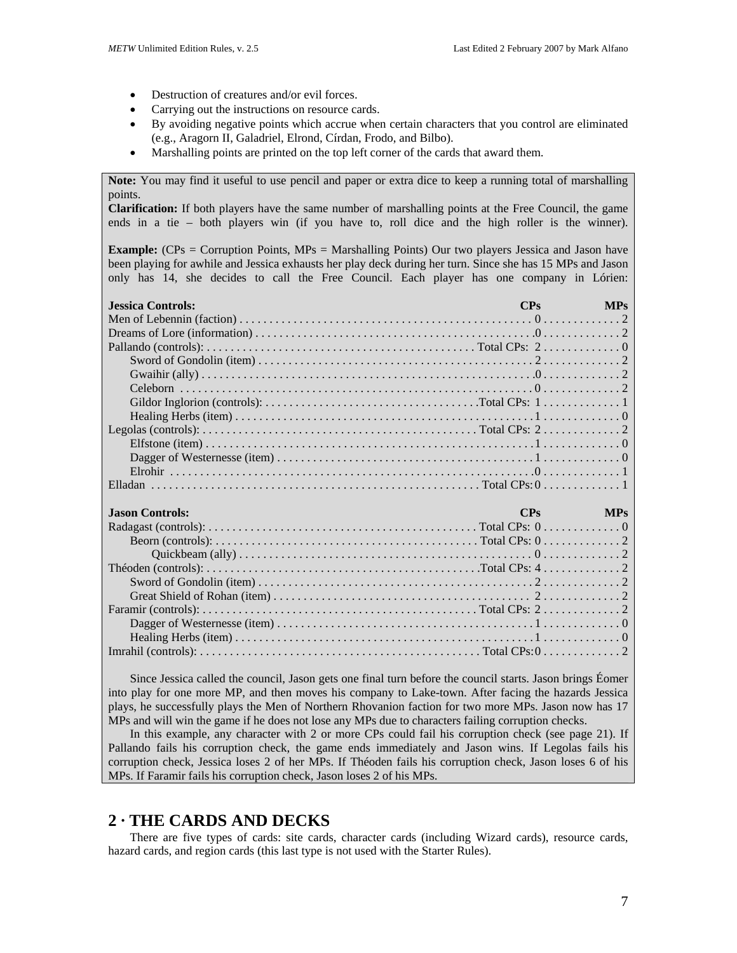- Destruction of creatures and/or evil forces.
- Carrying out the instructions on resource cards.
- By avoiding negative points which accrue when certain characters that you control are eliminated (e.g., Aragorn II, Galadriel, Elrond, Círdan, Frodo, and Bilbo).
- Marshalling points are printed on the top left corner of the cards that award them.

**Note:** You may find it useful to use pencil and paper or extra dice to keep a running total of marshalling points.

**Clarification:** If both players have the same number of marshalling points at the Free Council, the game ends in a tie – both players win (if you have to, roll dice and the high roller is the winner).

**Example:** (CPs = Corruption Points, MPs = Marshalling Points) Our two players Jessica and Jason have been playing for awhile and Jessica exhausts her play deck during her turn. Since she has 15 MPs and Jason only has 14, she decides to call the Free Council. Each player has one company in Lórien:

| <b>Jessica Controls:</b> | CPs | <b>MPs</b> |
|--------------------------|-----|------------|
|                          |     |            |
|                          |     |            |
|                          |     |            |
|                          |     |            |
|                          |     |            |
|                          |     |            |
|                          |     |            |
|                          |     |            |
|                          |     |            |
|                          |     |            |
|                          |     |            |
|                          |     |            |
|                          |     |            |
|                          |     |            |
| <b>Jason Controls:</b>   | CPs | <b>MPs</b> |
|                          |     |            |
|                          |     |            |
|                          |     |            |
|                          |     |            |
|                          |     |            |
|                          |     |            |
|                          |     |            |
|                          |     |            |
|                          |     |            |
|                          |     |            |
|                          |     |            |

Since Jessica called the council, Jason gets one final turn before the council starts. Jason brings Éomer into play for one more MP, and then moves his company to Lake-town. After facing the hazards Jessica plays, he successfully plays the Men of Northern Rhovanion faction for two more MPs. Jason now has 17 MPs and will win the game if he does not lose any MPs due to characters failing corruption checks.

In this example, any character with 2 or more CPs could fail his corruption check (see page 21). If Pallando fails his corruption check, the game ends immediately and Jason wins. If Legolas fails his corruption check, Jessica loses 2 of her MPs. If Théoden fails his corruption check, Jason loses 6 of his MPs. If Faramir fails his corruption check, Jason loses 2 of his MPs.

# **2 · THE CARDS AND DECKS**

There are five types of cards: site cards, character cards (including Wizard cards), resource cards, hazard cards, and region cards (this last type is not used with the Starter Rules).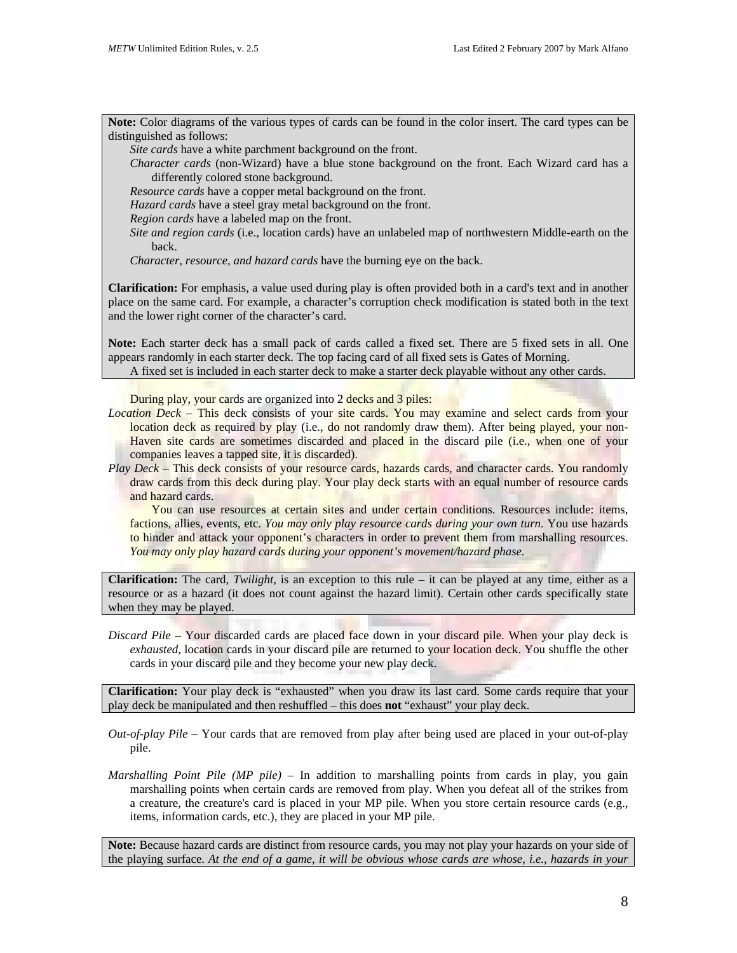**Note:** Color diagrams of the various types of cards can be found in the color insert. The card types can be distinguished as follows:

*Site cards* have a white parchment background on the front.

*Character cards* (non-Wizard) have a blue stone background on the front. Each Wizard card has a differently colored stone background.

*Resource cards* have a copper metal background on the front.

*Hazard cards* have a steel gray metal background on the front.

*Region cards* have a labeled map on the front.

*Site and region cards* (i.e., location cards) have an unlabeled map of northwestern Middle-earth on the back.

*Character, resource, and hazard cards* have the burning eye on the back.

**Clarification:** For emphasis, a value used during play is often provided both in a card's text and in another place on the same card. For example, a character's corruption check modification is stated both in the text and the lower right corner of the character's card.

**Note:** Each starter deck has a small pack of cards called a fixed set. There are 5 fixed sets in all. One appears randomly in each starter deck. The top facing card of all fixed sets is Gates of Morning.

A fixed set is included in each starter deck to make a starter deck playable without any other cards.

During play, your cards are organized into 2 decks and 3 piles:

- *Location Deck* This deck consists of your site cards. You may examine and select cards from your location deck as required by play (i.e., do not randomly draw them). After being played, your non-Haven site cards are sometimes discarded and placed in the discard pile *(i.e., when one of your* companies leaves a tapped site, it is discarded).
- *Play Deck* This deck consists of your resource cards, hazards cards, and character cards. You randomly draw cards from this deck during play. Your play deck starts with an equal number of resource cards and hazard cards.

You can use resources at certain sites and under certain conditions. Resources include: items, factions, allies, events, etc. *You may only play resource cards during your own turn.* You use hazards to hinder and attack your opponent's characters in order to prevent them from marshalling resources. *You may only play hazard cards during your opponent's movement/hazard phase.* 

**Clarification:** The card, *Twilight*, is an exception to this rule – it can be played at any time, either as a resource or as a hazard (it does not count against the hazard limit). Certain other cards specifically state when they may be played.

*Discard Pile –* Your discarded cards are placed face down in your discard pile. When your play deck is *exhausted*, location cards in your discard pile are returned to your location deck. You shuffle the other cards in your discard pile and they become your new play deck.

**Clarification:** Your play deck is "exhausted" when you draw its last card. Some cards require that your play deck be manipulated and then reshuffled – this does **not** "exhaust" your play deck.

*Out-of-play Pile –* Your cards that are removed from play after being used are placed in your out-of-play pile.

*Marshalling Point Pile (MP pile)* – In addition to marshalling points from cards in play, you gain marshalling points when certain cards are removed from play. When you defeat all of the strikes from a creature, the creature's card is placed in your MP pile. When you store certain resource cards (e.g., items, information cards, etc.), they are placed in your MP pile.

**Note:** Because hazard cards are distinct from resource cards, you may not play your hazards on your side of the playing surface. *At the end of a game, it will be obvious whose cards are whose, i.e., hazards in your*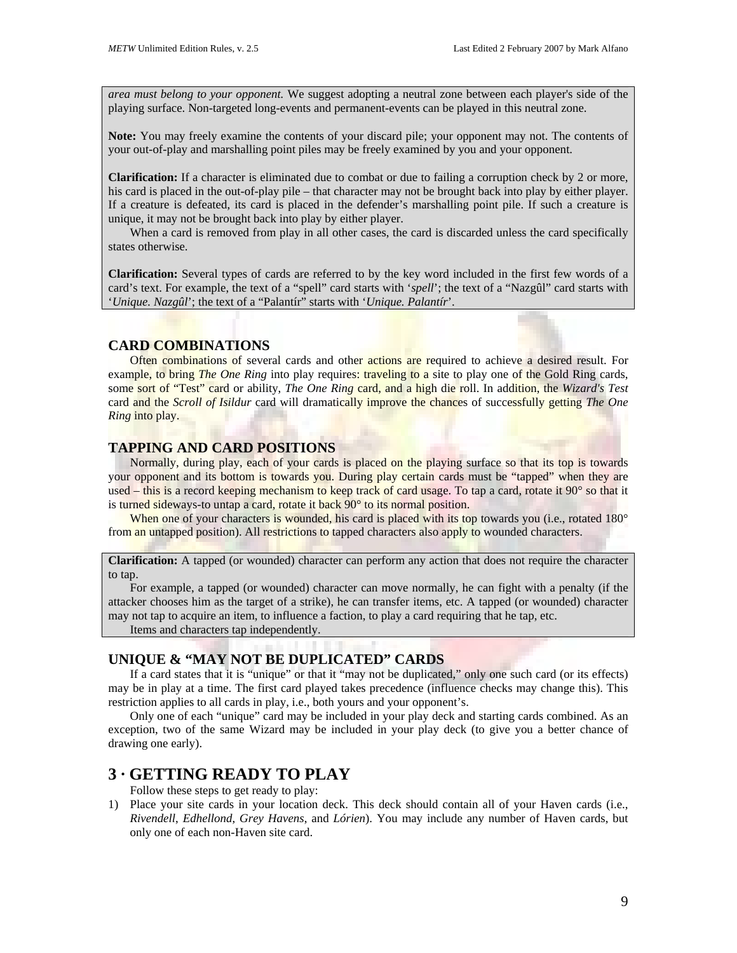*area must belong to your opponent.* We suggest adopting a neutral zone between each player's side of the playing surface. Non-targeted long-events and permanent-events can be played in this neutral zone.

**Note:** You may freely examine the contents of your discard pile; your opponent may not. The contents of your out-of-play and marshalling point piles may be freely examined by you and your opponent.

**Clarification:** If a character is eliminated due to combat or due to failing a corruption check by 2 or more, his card is placed in the out-of-play pile – that character may not be brought back into play by either player. If a creature is defeated, its card is placed in the defender's marshalling point pile. If such a creature is unique, it may not be brought back into play by either player.

When a card is removed from play in all other cases, the card is discarded unless the card specifically states otherwise.

**Clarification:** Several types of cards are referred to by the key word included in the first few words of a card's text. For example, the text of a "spell" card starts with '*spell*'; the text of a "Nazgûl" card starts with '*Unique. Nazgûl*'; the text of a "Palantír" starts with '*Unique. Palantír*'.

## **CARD COMBINATIONS**

Often combinations of several cards and other actions are required to achieve a desired result. For example, to bring *The One Ring* into play requires: traveling to a site to play one of the Gold Ring cards, some sort of "Test" card or ability, *The One Ring* card, and a high die roll. In addition, the *Wizard's Test* card and the *Scroll of Isildur* card will dramatically improve the chances of successfully getting *The One Ring* into play.

## **TAPPING AND CARD POSITIONS**

Normally, during play, each of your cards is placed on the playing surface so that its top is towards your opponent and its bottom is towards you. During play certain cards must be "tapped" when they are used – this is a record keeping mechanism to keep track of card usage. To tap a card, rotate it 90° so that it is turned sideways-to untap a card, rotate it back 90° to its normal position.

When one of your characters is wounded, his card is placed with its top towards you (i.e., rotated 180° from an untapped position). All restrictions to tapped characters also apply to wounded characters.

**Clarification:** A tapped (or wounded) character can perform any action that does not require the character to tap.

For example, a tapped (or wounded) character can move normally, he can fight with a penalty (if the attacker chooses him as the target of a strike), he can transfer items, etc. A tapped (or wounded) character may not tap to acquire an item, to influence a faction, to play a card requiring that he tap, etc.

Items and characters tap independently.

## **UNIQUE & "MAY NOT BE DUPLICATED" CARDS**

If a card states that it is "unique" or that it "may not be duplicated," only one such card (or its effects) may be in play at a time. The first card played takes precedence (influence checks may change this). This restriction applies to all cards in play, i.e., both yours and your opponent's.

Only one of each "unique" card may be included in your play deck and starting cards combined. As an exception, two of the same Wizard may be included in your play deck (to give you a better chance of drawing one early).

# **3 · GETTING READY TO PLAY**

Follow these steps to get ready to play:

1) Place your site cards in your location deck. This deck should contain all of your Haven cards (i.e., *Rivendell*, *Edhellond*, *Grey Havens*, and *Lórien*). You may include any number of Haven cards, but only one of each non-Haven site card.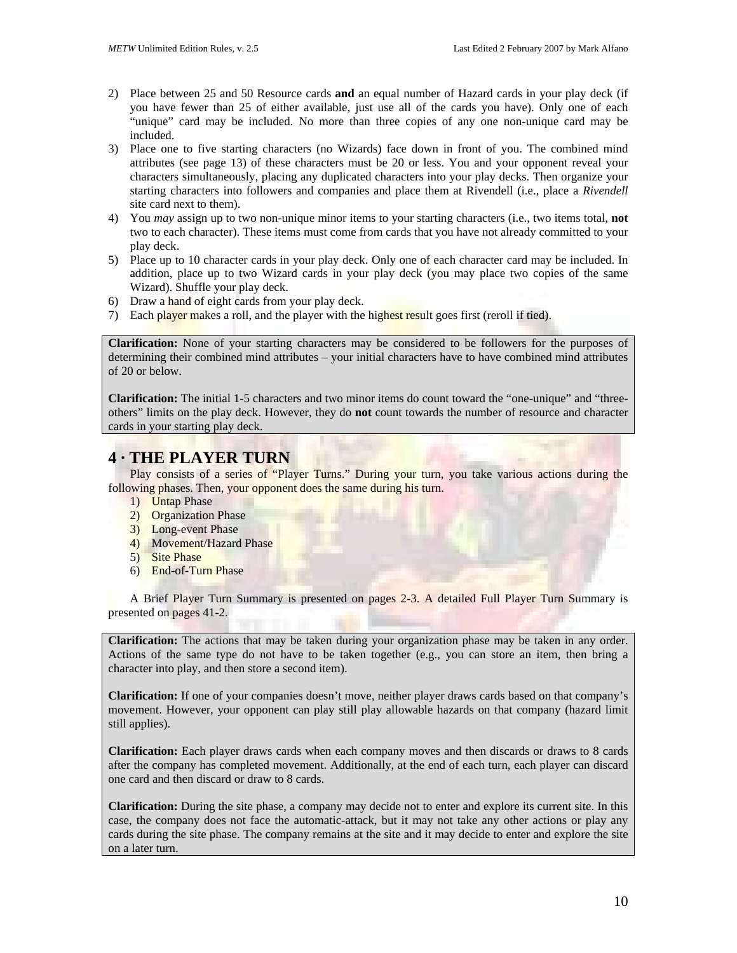- 2) Place between 25 and 50 Resource cards **and** an equal number of Hazard cards in your play deck (if you have fewer than 25 of either available, just use all of the cards you have). Only one of each "unique" card may be included. No more than three copies of any one non-unique card may be included.
- 3) Place one to five starting characters (no Wizards) face down in front of you. The combined mind attributes (see page 13) of these characters must be 20 or less. You and your opponent reveal your characters simultaneously, placing any duplicated characters into your play decks. Then organize your starting characters into followers and companies and place them at Rivendell (i.e., place a *Rivendell* site card next to them).
- 4) You *may* assign up to two non-unique minor items to your starting characters (i.e., two items total, **not** two to each character). These items must come from cards that you have not already committed to your play deck.
- 5) Place up to 10 character cards in your play deck. Only one of each character card may be included. In addition, place up to two Wizard cards in your play deck (you may place two copies of the same Wizard). Shuffle your play deck.
- 6) Draw a hand of eight cards from your play deck.
- 7) Each player makes a roll, and the player with the highest result goes first (reroll if tied).

**Clarification:** None of your starting characters may be considered to be followers for the purposes of determining their combined mind attributes – your initial characters have to have combined mind attributes of 20 or below.

**Clarification:** The initial 1-5 characters and two minor items do count toward the "one-unique" and "threeothers" limits on the play deck. However, they do **not** count towards the number of resource and character cards in your starting play deck.

# **4 · THE PLAYER TURN**

Play consists of a series of "Player Turns." During your turn, you take various actions during the following phases. Then, your opponent does the same during his turn.

- 1) Untap Phase
- 2) Organization Phase
- 3) Long-event Phase
- 4) Movement/Hazard Phase
- 5) Site Phase
- 6) End-of-Turn Phase

A Brief Player Turn Summary is presented on pages 2-3. A detailed Full Player Turn Summary is presented on pages 41-2.

**Clarification:** The actions that may be taken during your organization phase may be taken in any order. Actions of the same type do not have to be taken together (e.g., you can store an item, then bring a character into play, and then store a second item).

**Clarification:** If one of your companies doesn't move, neither player draws cards based on that company's movement. However, your opponent can play still play allowable hazards on that company (hazard limit still applies).

**Clarification:** Each player draws cards when each company moves and then discards or draws to 8 cards after the company has completed movement. Additionally, at the end of each turn, each player can discard one card and then discard or draw to 8 cards.

**Clarification:** During the site phase, a company may decide not to enter and explore its current site. In this case, the company does not face the automatic-attack, but it may not take any other actions or play any cards during the site phase. The company remains at the site and it may decide to enter and explore the site on a later turn.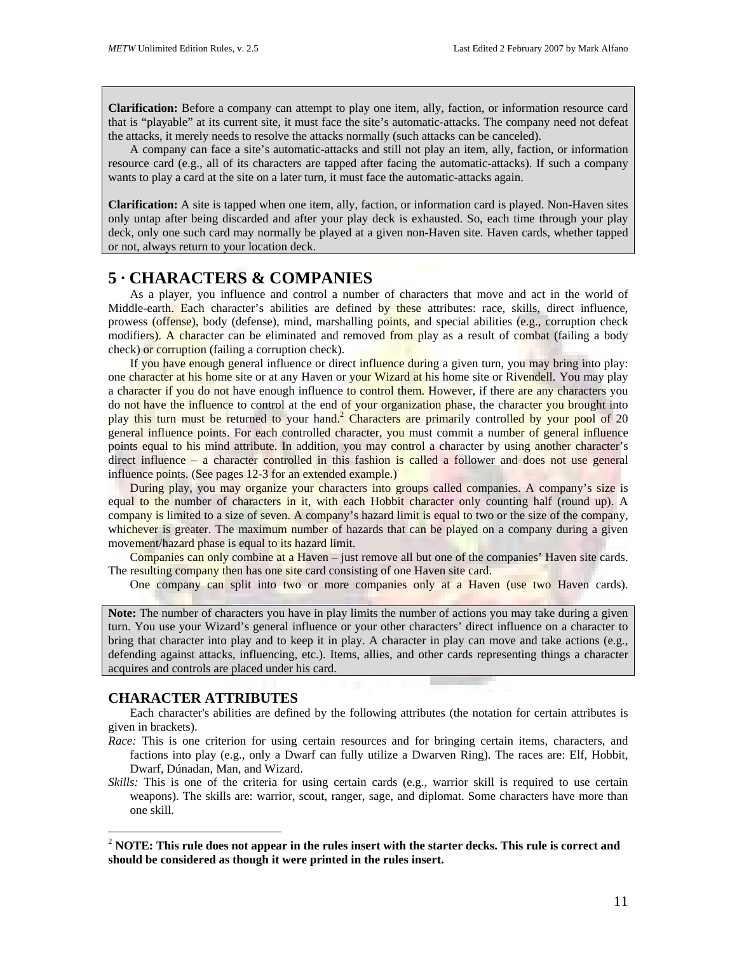**Clarification:** Before a company can attempt to play one item, ally, faction, or information resource card that is "playable" at its current site, it must face the site's automatic-attacks. The company need not defeat the attacks, it merely needs to resolve the attacks normally (such attacks can be canceled).

A company can face a site's automatic-attacks and still not play an item, ally, faction, or information resource card (e.g., all of its characters are tapped after facing the automatic-attacks). If such a company wants to play a card at the site on a later turn, it must face the automatic-attacks again.

**Clarification:** A site is tapped when one item, ally, faction, or information card is played. Non-Haven sites only untap after being discarded and after your play deck is exhausted. So, each time through your play deck, only one such card may normally be played at a given non-Haven site. Haven cards, whether tapped or not, always return to your location deck.

# **5 · CHARACTERS & COMPANIES**

As a player, you influence and control a number of characters that move and act in the world of Middle-earth. Each character's abilities are defined by these attributes: race, skills, direct influence, prowess (offense), body (defense), mind, marshalling points, and special abilities (e.g., corruption check modifiers). A character can be eliminated and removed from play as a result of combat (failing a body check) or corruption (failing a corruption check).

If you have enough general influence or direct influence during a given turn, you may bring into play: one character at his home site or at any Haven or your Wizard at his home site or Rivendell. You may play a character if you do not have enough influence to control them. However, if there are any characters you do not have the influence to control at the end of your organization phase, the character you brought into play this turn must be returned to your hand.<sup>[2](#page-10-0)</sup> Characters are primarily controlled by your pool of 20 general influence points. For each controlled character, you must commit a number of general influence points equal to his mind attribute. In addition, you may control a character by using another character's direct influence – a character controlled in this fashion is called a follower and does not use general influence points. (See pages 12-3 for an extended example.)

During play, you may organize your characters into groups called companies. A company's size is equal to the number of characters in it, with each Hobbit character only counting half (round up). A company is limited to a size of seven. A company's hazard limit is equal to two or the size of the company, whichever is greater. The maximum number of hazards that can be played on a company during a given movement/hazard phase is equal to its hazard limit.

Companies can only combine at a Haven – just remove all but one of the companies' Haven site cards. The resulting company then has one site card consisting of one Haven site card.

One company can split into two or more companies only at a Haven (use two Haven cards).

**Note:** The number of characters you have in play limits the number of actions you may take during a given turn. You use your Wizard's general influence or your other characters' direct influence on a character to bring that character into play and to keep it in play. A character in play can move and take actions (e.g., defending against attacks, influencing, etc.). Items, allies, and other cards representing things a character acquires and controls are placed under his card.

## **CHARACTER ATTRIBUTES**

 $\overline{a}$ 

Each character's abilities are defined by the following attributes (the notation for certain attributes is given in brackets).

- *Race:* This is one criterion for using certain resources and for bringing certain items, characters, and factions into play (e.g., only a Dwarf can fully utilize a Dwarven Ring). The races are: Elf, Hobbit, Dwarf, Dúnadan, Man, and Wizard.
- *Skills:* This is one of the criteria for using certain cards (e.g., warrior skill is required to use certain weapons). The skills are: warrior, scout, ranger, sage, and diplomat. Some characters have more than one skill.

<span id="page-10-0"></span><sup>2</sup> **NOTE: This rule does not appear in the rules insert with the starter decks. This rule is correct and should be considered as though it were printed in the rules insert.**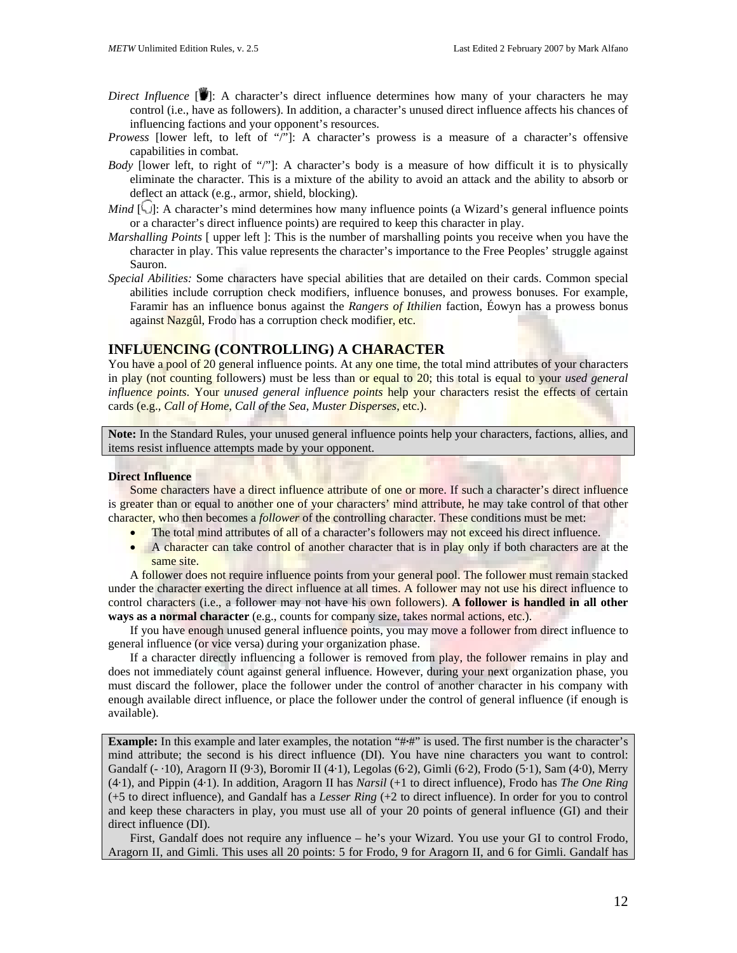- *Direct Influence* [1]: A character's direct influence determines how many of your characters he may control (i.e., have as followers). In addition, a character's unused direct influence affects his chances of influencing factions and your opponent's resources.
- *Prowess* [lower left, to left of "/"]: A character's prowess is a measure of a character's offensive capabilities in combat.
- *Body* [lower left, to right of "/"]: A character's body is a measure of how difficult it is to physically eliminate the character. This is a mixture of the ability to avoid an attack and the ability to absorb or deflect an attack (e.g., armor, shield, blocking).
- *Mind*  $[\bigcup]$ : A character's mind determines how many influence points (a Wizard's general influence points or a character's direct influence points) are required to keep this character in play.
- *Marshalling Points* [ upper left ]: This is the number of marshalling points you receive when you have the character in play. This value represents the character's importance to the Free Peoples' struggle against Sauron.
- *Special Abilities:* Some characters have special abilities that are detailed on their cards. Common special abilities include corruption check modifiers, influence bonuses, and prowess bonuses. For example, Faramir has an influence bonus against the *Rangers of Ithilien* faction, Éowyn has a prowess bonus against Nazgûl, Frodo has a corruption check modifier, etc.

## **INFLUENCING (CONTROLLING) A CHARACTER**

You have a pool of 20 general influence points. At any one time, the total mind attributes of your characters in play (not counting followers) must be less than or equal to 20; this total is equal to your *used general influence points*. Your *unused general influence points* help your characters resist the effects of certain cards (e.g., *Call of Home*, *Call of the Sea*, *Muster Disperses*, etc.).

**Note:** In the Standard Rules, your unused general influence points help your characters, factions, allies, and items resist influence attempts made by your opponent.

## **Direct Influence**

Some characters have a direct influence attribute of one or more. If such a character's direct influence is greater than or equal to another one of your characters' mind attribute, he may take control of that other character, who then becomes a *follower* of the controlling character. These conditions must be met:

- The total mind attributes of all of a character's followers may not exceed his direct influence.
- A character can take control of another character that is in play only if both characters are at the same site.

A follower does not require influence points from your general pool. The follower must remain stacked under the character exerting the direct influence at all times. A follower may not use his direct influence to control characters (i.e., a follower may not have his own followers). **A follower is handled in all other ways as a normal character** (e.g., counts for company size, takes normal actions, etc.).

If you have enough unused general influence points, you may move a follower from direct influence to general influence (or vice versa) during your organization phase.

If a character directly influencing a follower is removed from play, the follower remains in play and does not immediately count against general influence. However, during your next organization phase, you must discard the follower, place the follower under the control of another character in his company with enough available direct influence, or place the follower under the control of general influence (if enough is available).

**Example:** In this example and later examples, the notation "# $\#$ " is used. The first number is the character's mind attribute; the second is his direct influence (DI). You have nine characters you want to control: Gandalf (- ·10), Aragorn II (9·3), Boromir II (4·1), Legolas (6·2), Gimli (6·2), Frodo (5·1), Sam (4·0), Merry (4·1), and Pippin (4·1). In addition, Aragorn II has *Narsil* (+1 to direct influence), Frodo has *The One Ring* (+5 to direct influence), and Gandalf has a *Lesser Ring* (+2 to direct influence). In order for you to control and keep these characters in play, you must use all of your 20 points of general influence (GI) and their direct influence (DI).

First, Gandalf does not require any influence – he's your Wizard. You use your GI to control Frodo, Aragorn II, and Gimli. This uses all 20 points: 5 for Frodo, 9 for Aragorn II, and 6 for Gimli. Gandalf has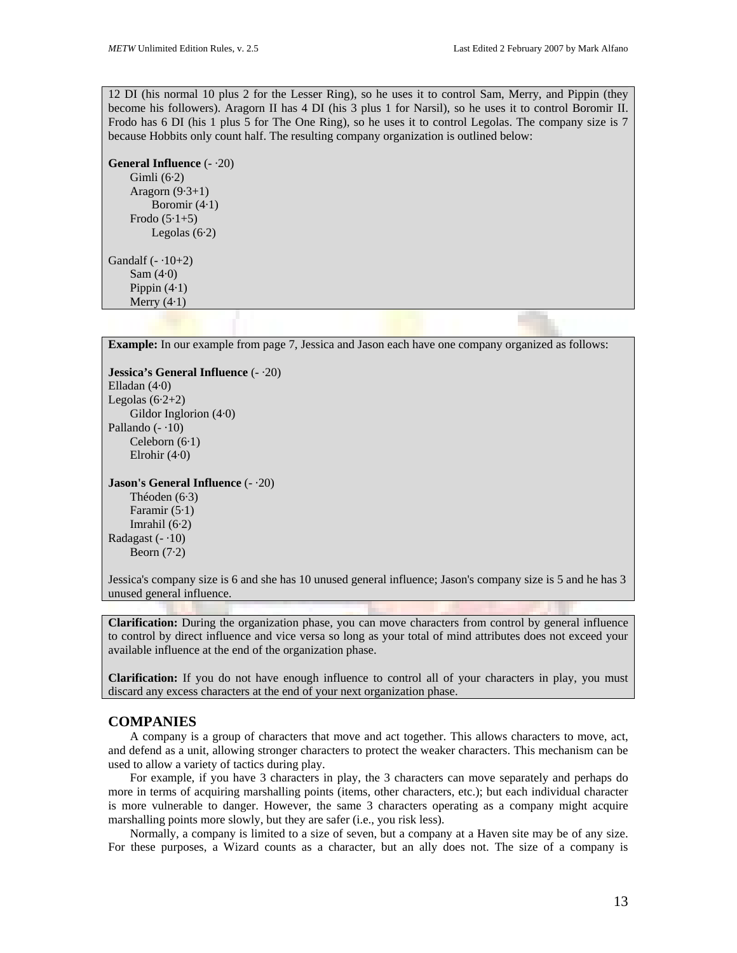12 DI (his normal 10 plus 2 for the Lesser Ring), so he uses it to control Sam, Merry, and Pippin (they become his followers). Aragorn II has 4 DI (his 3 plus 1 for Narsil), so he uses it to control Boromir II. Frodo has 6 DI (his 1 plus 5 for The One Ring), so he uses it to control Legolas. The company size is 7 because Hobbits only count half. The resulting company organization is outlined below:

**General Influence** (- ·20) Gimli (6·2) Aragorn (9·3+1) Boromir (4·1) Frodo  $(5.1+5)$ Legolas  $(6.2)$ 

Gandalf  $(-.10+2)$ Sam  $(4.0)$ Pippin  $(4.1)$ Merry  $(4.1)$ 

**Example:** In our example from page 7, Jessica and Jason each have one company organized as follows: **Jessica's General Influence** (- ·20) Elladan (4·0) Legolas  $(6.2+2)$ Gildor Inglorion (4·0) Pallando  $(-10)$ Celeborn (6·1) Elrohir (4·0) **Jason's General Influence** (- ·20) Théoden (6·3) Faramir  $(5.1)$ Imrahil  $(6.2)$ Radagast  $(-10)$ Beorn  $(7.2)$ Jessica's company size is 6 and she has 10 unused general influence; Jason's company size is 5 and he has 3 unused general influence.

**Clarification:** During the organization phase, you can move characters from control by general influence to control by direct influence and vice versa so long as your total of mind attributes does not exceed your available influence at the end of the organization phase.

**Clarification:** If you do not have enough influence to control all of your characters in play, you must discard any excess characters at the end of your next organization phase.

## **COMPANIES**

A company is a group of characters that move and act together. This allows characters to move, act, and defend as a unit, allowing stronger characters to protect the weaker characters. This mechanism can be used to allow a variety of tactics during play.

For example, if you have 3 characters in play, the 3 characters can move separately and perhaps do more in terms of acquiring marshalling points (items, other characters, etc.); but each individual character is more vulnerable to danger. However, the same 3 characters operating as a company might acquire marshalling points more slowly, but they are safer (i.e., you risk less).

Normally, a company is limited to a size of seven, but a company at a Haven site may be of any size. For these purposes, a Wizard counts as a character, but an ally does not. The size of a company is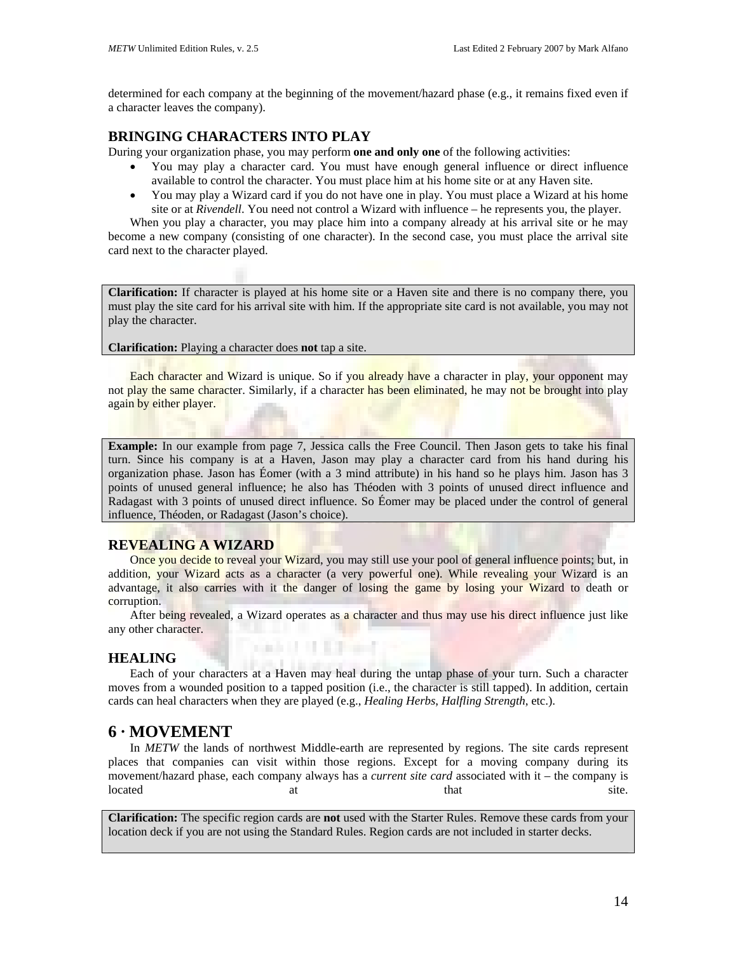determined for each company at the beginning of the movement/hazard phase (e.g., it remains fixed even if a character leaves the company).

# **BRINGING CHARACTERS INTO PLAY**

During your organization phase, you may perform **one and only one** of the following activities:

- You may play a character card. You must have enough general influence or direct influence available to control the character. You must place him at his home site or at any Haven site.
- You may play a Wizard card if you do not have one in play. You must place a Wizard at his home site or at *Rivendell*. You need not control a Wizard with influence – he represents you, the player.

When you play a character, you may place him into a company already at his arrival site or he may become a new company (consisting of one character). In the second case, you must place the arrival site card next to the character played.

**Clarification:** If character is played at his home site or a Haven site and there is no company there, you must play the site card for his arrival site with him. If the appropriate site card is not available, you may not play the character.

**Clarification:** Playing a character does **not** tap a site.

Each character and Wizard is unique. So if you already have a character in play, your opponent may not play the same character. Similarly, if a character has been eliminated, he may not be brought into play again by either player.

**Example:** In our example from page 7, Jessica calls the Free Council. Then Jason gets to take his final turn. Since his company is at a Haven, Jason may play a character card from his hand during his organization phase. Jason has Éomer (with a 3 mind attribute) in his hand so he plays him. Jason has 3 points of unused general influence; he also has Théoden with 3 points of unused direct influence and Radagast with 3 points of unused direct influence. So Éomer may be placed under the control of general influence, Théoden, or Radagast (Jason's choice).

# **REVEALING A WIZARD**

Once you decide to reveal your Wizard, you may still use your pool of general influence points; but, in addition, your Wizard acts as a character (a very powerful one). While revealing your Wizard is an advantage, it also carries with it the danger of losing the game by losing your Wizard to death or corruption.

After being revealed, a Wizard operates as a character and thus may use his direct influence just like any other character.

**Carl Li II Trans** 

# **HEALING**

Each of your characters at a Haven may heal during the untap phase of your turn. Such a character moves from a wounded position to a tapped position (i.e., the character is still tapped). In addition, certain cards can heal characters when they are played (e.g., *Healing Herbs*, *Halfling Strength*, etc.).

# **6 · MOVEMENT**

In *METW* the lands of northwest Middle-earth are represented by regions. The site cards represent places that companies can visit within those regions. Except for a moving company during its movement/hazard phase, each company always has a *current site card* associated with it – the company is located at that site.

**Clarification:** The specific region cards are **not** used with the Starter Rules. Remove these cards from your location deck if you are not using the Standard Rules. Region cards are not included in starter decks.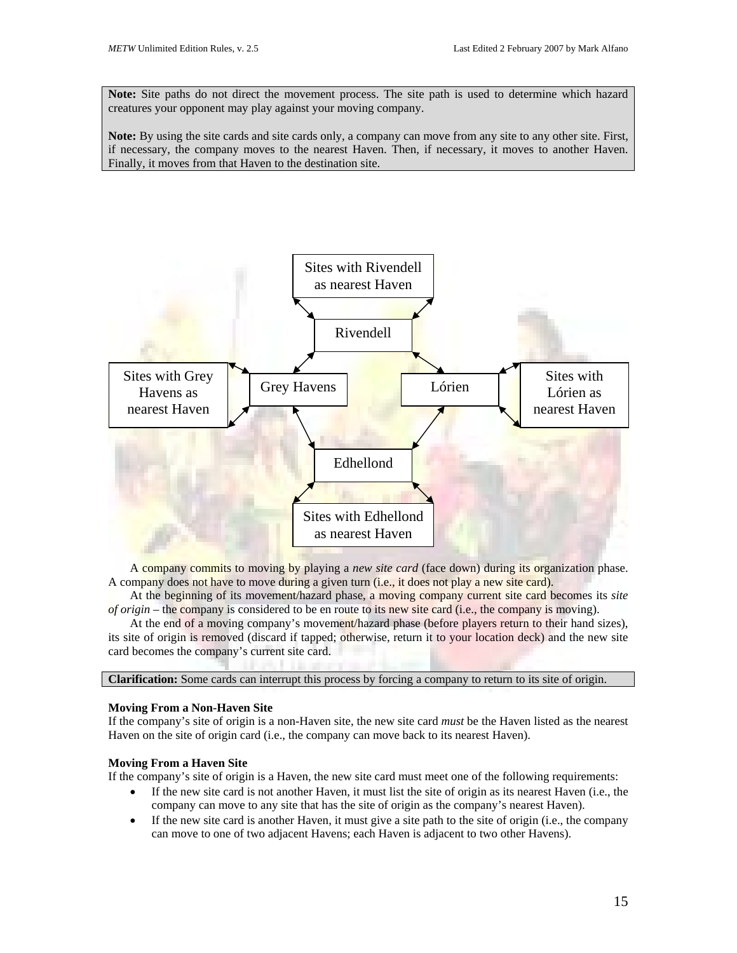**Note:** Site paths do not direct the movement process. The site path is used to determine which hazard creatures your opponent may play against your moving company.

**Note:** By using the site cards and site cards only, a company can move from any site to any other site. First, if necessary, the company moves to the nearest Haven. Then, if necessary, it moves to another Haven. Finally, it moves from that Haven to the destination site.



A company commits to moving by playing a *new site card* (face down) during its organization phase. A company does not have to move during a given turn (i.e., it does not play a new site card).

At the beginning of its movement/hazard phase, a moving company current site card becomes its *site of origin* – the company is considered to be en route to its new site card (i.e., the company is moving).

At the end of a moving company's movement/hazard phase (before players return to their hand sizes), its site of origin is removed (discard if tapped; otherwise, return it to your location deck) and the new site card becomes the company's current site card.

**Clarification:** Some cards can interrupt this process by forcing a company to return to its site of origin.

### **Moving From a Non-Haven Site**

If the company's site of origin is a non-Haven site, the new site card *must* be the Haven listed as the nearest Haven on the site of origin card (i.e., the company can move back to its nearest Haven).

## **Moving From a Haven Site**

If the company's site of origin is a Haven, the new site card must meet one of the following requirements:

- If the new site card is not another Haven, it must list the site of origin as its nearest Haven (i.e., the company can move to any site that has the site of origin as the company's nearest Haven).
- If the new site card is another Haven, it must give a site path to the site of origin (i.e., the company can move to one of two adjacent Havens; each Haven is adjacent to two other Havens).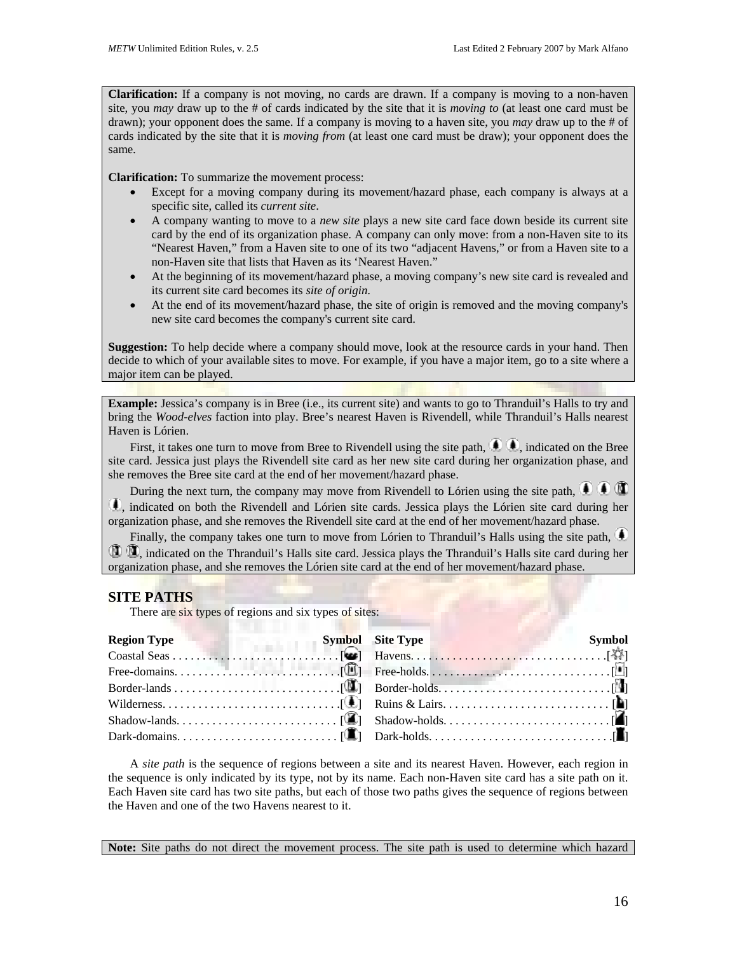**Clarification:** If a company is not moving, no cards are drawn. If a company is moving to a non-haven site, you *may* draw up to the # of cards indicated by the site that it is *moving to* (at least one card must be drawn); your opponent does the same. If a company is moving to a haven site, you *may* draw up to the # of cards indicated by the site that it is *moving from* (at least one card must be draw); your opponent does the same.

**Clarification:** To summarize the movement process:

- Except for a moving company during its movement/hazard phase, each company is always at a specific site, called its *current site*.
- A company wanting to move to a *new site* plays a new site card face down beside its current site card by the end of its organization phase. A company can only move: from a non-Haven site to its "Nearest Haven," from a Haven site to one of its two "adjacent Havens," or from a Haven site to a non-Haven site that lists that Haven as its 'Nearest Haven."
- At the beginning of its movement/hazard phase, a moving company's new site card is revealed and its current site card becomes its *site of origin*.
- At the end of its movement/hazard phase, the site of origin is removed and the moving company's new site card becomes the company's current site card.

**Suggestion:** To help decide where a company should move, look at the resource cards in your hand. Then decide to which of your available sites to move. For example, if you have a major item, go to a site where a major item can be played.

**Example:** Jessica's company is in Bree (i.e., its current site) and wants to go to Thranduil's Halls to try and bring the *Wood-elves* faction into play. Bree's nearest Haven is Rivendell, while Thranduil's Halls nearest Haven is Lórien.

First, it takes one turn to move from Bree to Rivendell using the site path,  $\bigoplus$ , indicated on the Bree site card. Jessica just plays the Rivendell site card as her new site card during her organization phase, and she removes the Bree site card at the end of her movement/hazard phase.

During the next turn, the company may move from Rivendell to Lórien using the site path,  $\blacksquare$ , indicated on both the Rivendell and Lórien site cards. Jessica plays the Lórien site card during her organization phase, and she removes the Rivendell site card at the end of her movement/hazard phase.

Finally, the company takes one turn to move from Lórien to Thranduil's Halls using the site path, , indicated on the Thranduil's Halls site card. Jessica plays the Thranduil's Halls site card during her organization phase, and she removes the Lórien site card at the end of her movement/hazard phase.

## **SITE PATHS**

There are six types of regions and six types of sites:

A *site path* is the sequence of regions between a site and its nearest Haven. However, each region in the sequence is only indicated by its type, not by its name. Each non-Haven site card has a site path on it. Each Haven site card has two site paths, but each of those two paths gives the sequence of regions between the Haven and one of the two Havens nearest to it.

Note: Site paths do not direct the movement process. The site path is used to determine which hazard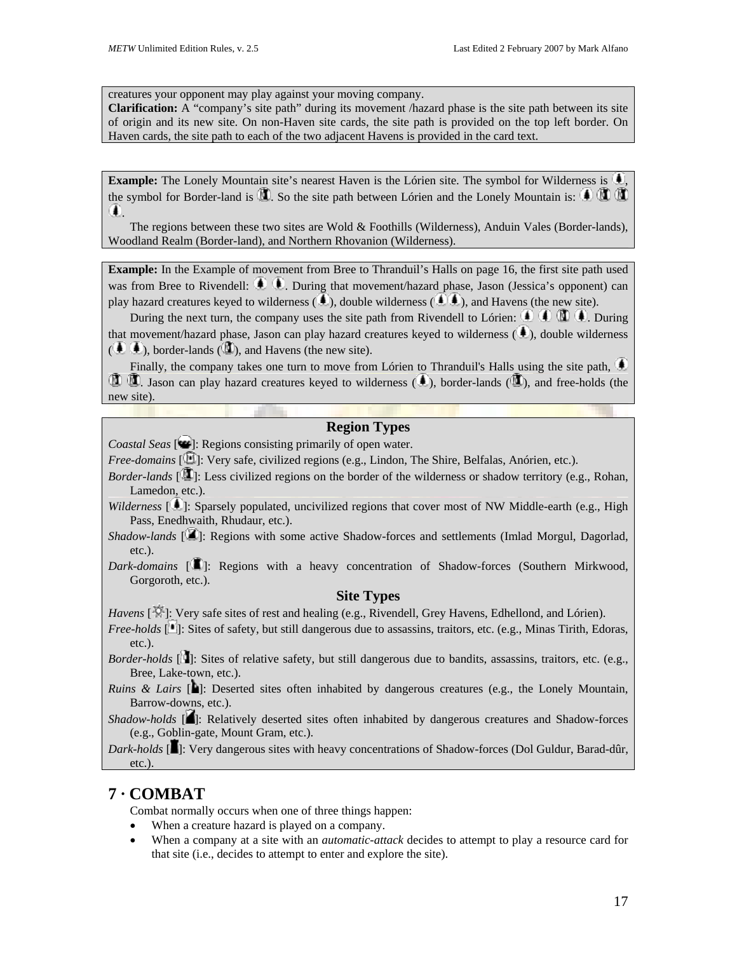creatures your opponent may play against your moving company.

**Clarification:** A "company's site path" during its movement /hazard phase is the site path between its site of origin and its new site. On non-Haven site cards, the site path is provided on the top left border. On Haven cards, the site path to each of the two adjacent Havens is provided in the card text.

Example: The Lonely Mountain site's nearest Haven is the Lórien site. The symbol for Wilderness is  $\bigcirc$ the symbol for Border-land is  $\mathbb{Z}$ . So the site path between Lórien and the Lonely Mountain is:  $\mathbb{Q} \mathbb{Z}$  $\left( \blacksquare \right)$ 

The regions between these two sites are Wold & Foothills (Wilderness), Anduin Vales (Border-lands), Woodland Realm (Border-land), and Northern Rhovanion (Wilderness).

**Example:** In the Example of movement from Bree to Thranduil's Halls on page 16, the first site path used was from Bree to Rivendell:  $\bigoplus$   $\bigoplus$ . During that movement/hazard phase, Jason (Jessica's opponent) can play hazard creatures keyed to wilderness  $(\bullet)$ , double wilderness  $(\bullet)$ , and Havens (the new site).

During the next turn, the company uses the site path from Rivendell to Lórien:  $\mathbf{0} \in \mathbb{R}$   $\mathbf{0}$ . During that movement/hazard phase, Jason can play hazard creatures keyed to wilderness  $(4)$ , double wilderness  $(\bigoplus \Phi)$ , border-lands ( $\Box$ ), and Havens (the new site).

Finally, the company takes one turn to move from Lórien to Thranduil's Halls using the site path,  $\bigcirc$  $\mathbf{0}$ . Jason can play hazard creatures keyed to wilderness (**4**), border-lands (**1)**, and free-holds (the new site).

## **Region Types**

*Coastal Seas* [ $\bigcirc$ ]: Regions consisting primarily of open water.

- *Free-domains* [  $\Box$ ]: Very safe, civilized regions (e.g., Lindon, The Shire, Belfalas, Anórien, etc.).
- *Border-lands*  $[\mathbf{u}]$ : Less civilized regions on the border of the wilderness or shadow territory (e.g., Rohan, Lamedon, etc.).
- *Wilderness* [11]: Sparsely populated, uncivilized regions that cover most of NW Middle-earth (e.g., High Pass, Enedhwaith, Rhudaur, etc.).
- *Shadow-lands* [ $\blacksquare$ ]: Regions with some active Shadow-forces and settlements (Imlad Morgul, Dagorlad, etc.).
- *Dark-domains* [<sup>1</sup>]: Regions with a heavy concentration of Shadow-forces (Southern Mirkwood, Gorgoroth, etc.).

## **Site Types**

*Havens* [ ]: Very safe sites of rest and healing (e.g., Rivendell, Grey Havens, Edhellond, and Lórien).

*Free-holds* [1]: Sites of safety, but still dangerous due to assassins, traitors, etc. (e.g., Minas Tirith, Edoras, etc.).

*Border-holds* [<sup>1</sup>]: Sites of relative safety, but still dangerous due to bandits, assassins, traitors, etc. (e.g., Bree, Lake-town, etc.).

*Ruins & Lairs* [**b**]: Deserted sites often inhabited by dangerous creatures (e.g., the Lonely Mountain, Barrow-downs, etc.).

*Shadow-holds* [ $\blacksquare$ ]: Relatively deserted sites often inhabited by dangerous creatures and Shadow-forces (e.g., Goblin-gate, Mount Gram, etc.).

*Dark-holds* [1]: Very dangerous sites with heavy concentrations of Shadow-forces (Dol Guldur, Barad-dûr, etc.).

# **7 · COMBAT**

Combat normally occurs when one of three things happen:

- When a creature hazard is played on a company.
- When a company at a site with an *automatic-attack* decides to attempt to play a resource card for that site (i.e., decides to attempt to enter and explore the site).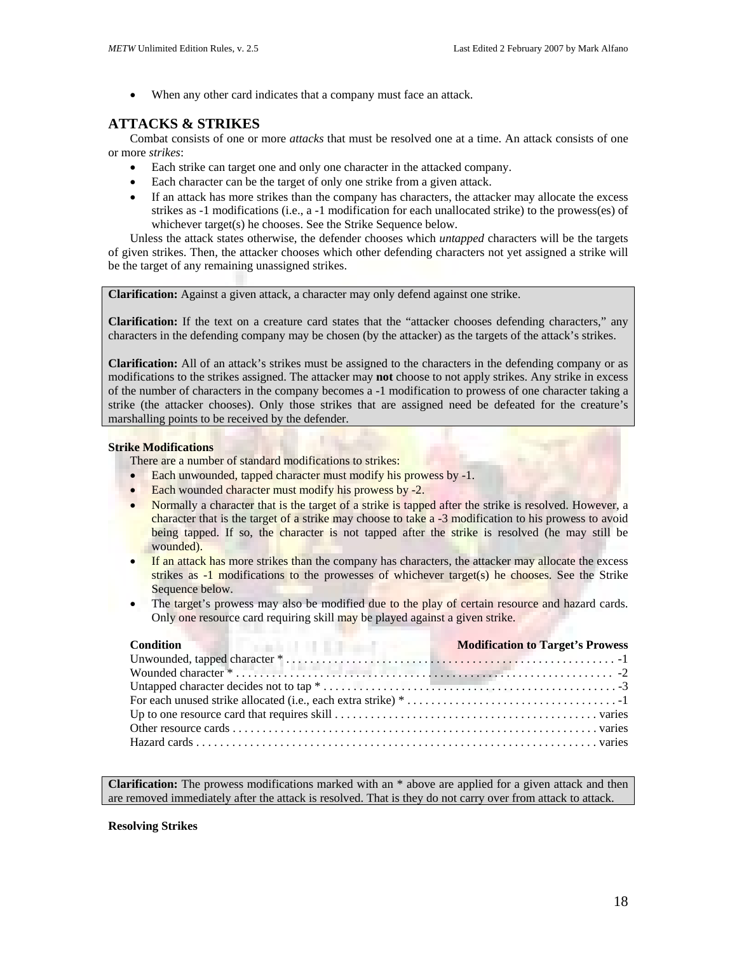• When any other card indicates that a company must face an attack.

# **ATTACKS & STRIKES**

Combat consists of one or more *attacks* that must be resolved one at a time. An attack consists of one or more *strikes*:

- Each strike can target one and only one character in the attacked company.
- Each character can be the target of only one strike from a given attack.
- If an attack has more strikes than the company has characters, the attacker may allocate the excess strikes as -1 modifications (i.e., a -1 modification for each unallocated strike) to the prowess(es) of whichever target(s) he chooses. See the Strike Sequence below.

Unless the attack states otherwise, the defender chooses which *untapped* characters will be the targets of given strikes. Then, the attacker chooses which other defending characters not yet assigned a strike will be the target of any remaining unassigned strikes.

**Clarification:** Against a given attack, a character may only defend against one strike.

**Clarification:** If the text on a creature card states that the "attacker chooses defending characters," any characters in the defending company may be chosen (by the attacker) as the targets of the attack's strikes.

**Clarification:** All of an attack's strikes must be assigned to the characters in the defending company or as modifications to the strikes assigned. The attacker may **not** choose to not apply strikes. Any strike in excess of the number of characters in the company becomes a -1 modification to prowess of one character taking a strike (the attacker chooses). Only those strikes that are assigned need be defeated for the creature's marshalling points to be received by the defender.

## **Strike Modifications**

There are a number of standard modifications to strikes:

- Each unwounded, tapped character must modify his prowess by -1.
- Each wounded character must modify his prowess by -2.
- Normally a character that is the target of a strike is tapped after the strike is resolved. However, a character that is the target of a strike may choose to take a -3 modification to his prowess to avoid being tapped. If so, the character is not tapped after the strike is resolved (he may still be wounded).
- If an attack has more strikes than the company has characters, the attacker may allocate the excess strikes as -1 modifications to the prowesses of whichever target(s) he chooses. See the Strike Sequence below.
- The target's prowess may also be modified due to the play of certain resource and hazard cards. Only one resource card requiring skill may be played against a given strike.

**Clarification:** The prowess modifications marked with an \* above are applied for a given attack and then are removed immediately after the attack is resolved. That is they do not carry over from attack to attack.

## **Resolving Strikes**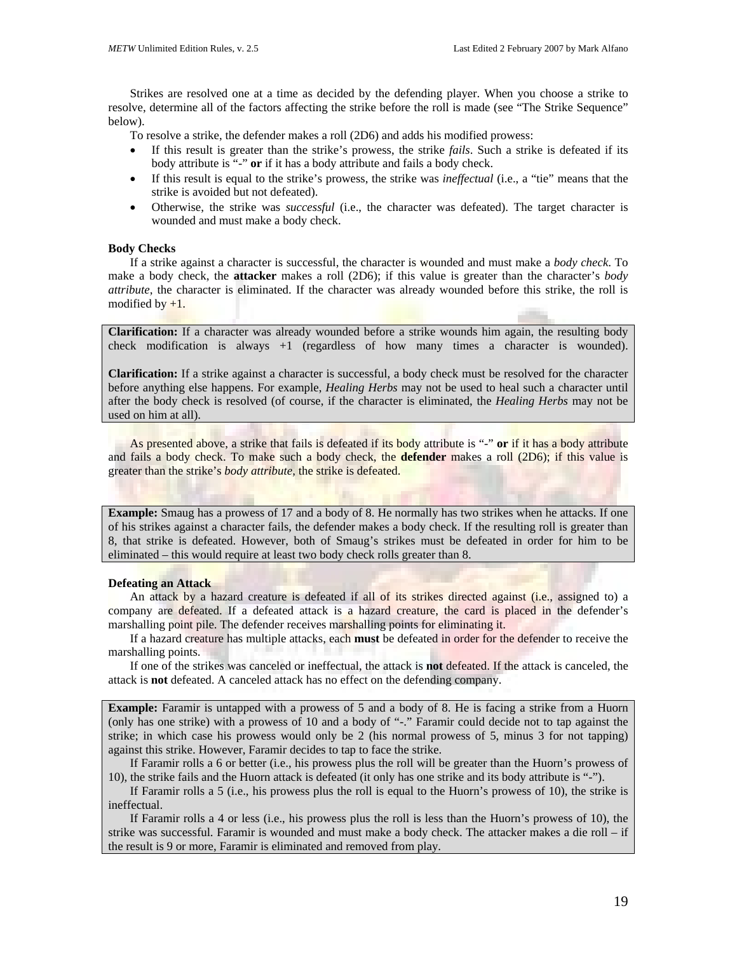Strikes are resolved one at a time as decided by the defending player. When you choose a strike to resolve, determine all of the factors affecting the strike before the roll is made (see "The Strike Sequence" below).

To resolve a strike, the defender makes a roll (2D6) and adds his modified prowess:

- If this result is greater than the strike's prowess, the strike *fails*. Such a strike is defeated if its body attribute is "-" **or** if it has a body attribute and fails a body check.
- If this result is equal to the strike's prowess, the strike was *ineffectual* (i.e., a "tie" means that the strike is avoided but not defeated).
- Otherwise, the strike was *successful* (i.e., the character was defeated). The target character is wounded and must make a body check.

#### **Body Checks**

If a strike against a character is successful, the character is wounded and must make a *body check*. To make a body check, the **attacker** makes a roll (2D6); if this value is greater than the character's *body attribute*, the character is eliminated. If the character was already wounded before this strike, the roll is modified by  $+1$ .

**Clarification:** If a character was already wounded before a strike wounds him again, the resulting body check modification is always  $+1$  (regardless of how many times a character is wounded).

**Clarification:** If a strike against a character is successful, a body check must be resolved for the character before anything else happens. For example, *Healing Herbs* may not be used to heal such a character until after the body check is resolved (of course, if the character is eliminated, the *Healing Herbs* may not be used on him at all).

As presented above, a strike that fails is defeated if its body attribute is "-" **or** if it has a body attribute and fails a body check. To make such a body check, the **defender** makes a roll (2D6); if this value is greater than the strike's *body attribute*, the strike is defeated.

**Example:** Smaug has a prowess of 17 and a body of 8. He normally has two strikes when he attacks. If one of his strikes against a character fails, the defender makes a body check. If the resulting roll is greater than 8, that strike is defeated. However, both of Smaug's strikes must be defeated in order for him to be eliminated – this would require at least two body check rolls greater than 8.

#### **Defeating an Attack**

An attack by a hazard creature is defeated if all of its strikes directed against (i.e., assigned to) a company are defeated. If a defeated attack is a hazard creature, the card is placed in the defender's marshalling point pile. The defender receives marshalling points for eliminating it.

If a hazard creature has multiple attacks, each **must** be defeated in order for the defender to receive the marshalling points.

If one of the strikes was canceled or ineffectual, the attack is **not** defeated. If the attack is canceled, the attack is **not** defeated. A canceled attack has no effect on the defending company.

**Example:** Faramir is untapped with a prowess of 5 and a body of 8. He is facing a strike from a Huorn (only has one strike) with a prowess of 10 and a body of "-." Faramir could decide not to tap against the strike; in which case his prowess would only be 2 (his normal prowess of 5, minus 3 for not tapping) against this strike. However, Faramir decides to tap to face the strike.

If Faramir rolls a 6 or better (i.e., his prowess plus the roll will be greater than the Huorn's prowess of 10), the strike fails and the Huorn attack is defeated (it only has one strike and its body attribute is "-").

If Faramir rolls a 5 (i.e., his prowess plus the roll is equal to the Huorn's prowess of 10), the strike is ineffectual.

If Faramir rolls a 4 or less (i.e., his prowess plus the roll is less than the Huorn's prowess of 10), the strike was successful. Faramir is wounded and must make a body check. The attacker makes a die roll – if the result is 9 or more, Faramir is eliminated and removed from play.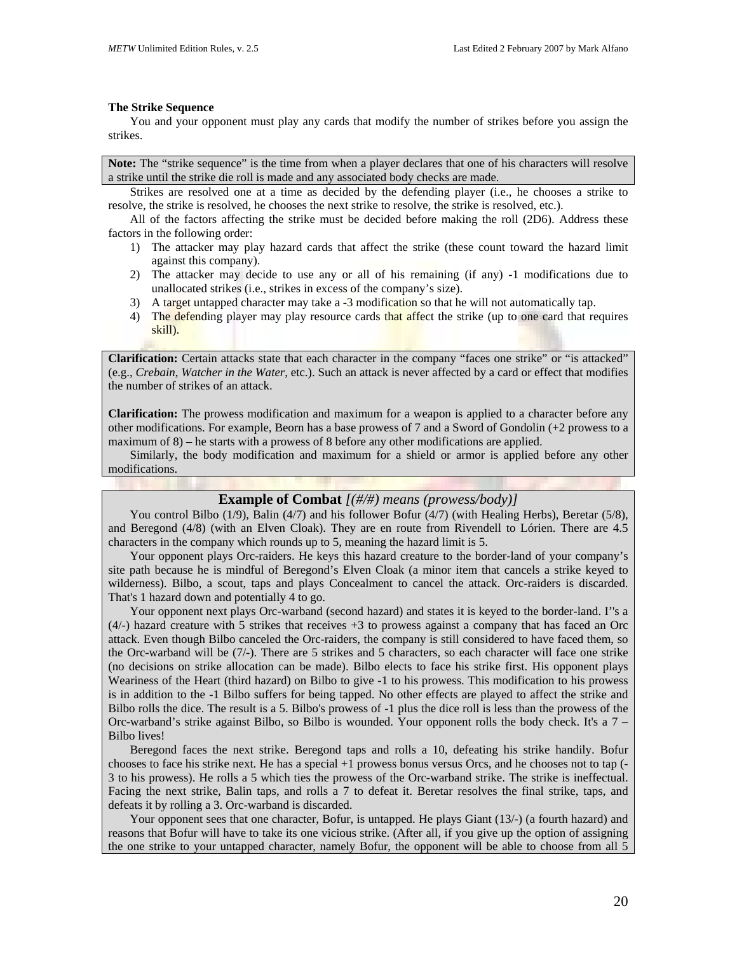#### **The Strike Sequence**

You and your opponent must play any cards that modify the number of strikes before you assign the strikes.

**Note:** The "strike sequence" is the time from when a player declares that one of his characters will resolve a strike until the strike die roll is made and any associated body checks are made.

Strikes are resolved one at a time as decided by the defending player (i.e., he chooses a strike to resolve, the strike is resolved, he chooses the next strike to resolve, the strike is resolved, etc.).

All of the factors affecting the strike must be decided before making the roll (2D6). Address these factors in the following order:

- 1) The attacker may play hazard cards that affect the strike (these count toward the hazard limit against this company).
- 2) The attacker may decide to use any or all of his remaining (if any) -1 modifications due to unallocated strikes (i.e., strikes in excess of the company's size).
- 3) A target untapped character may take a -3 modification so that he will not automatically tap.
- 4) The defending player may play resource cards that affect the strike (up to one card that requires skill).

**Clarification:** Certain attacks state that each character in the company "faces one strike" or "is attacked" (e.g., *Crebain*, *Watcher in the Water*, etc.). Such an attack is never affected by a card or effect that modifies the number of strikes of an attack.

**Clarification:** The prowess modification and maximum for a weapon is applied to a character before any other modifications. For example, Beorn has a base prowess of 7 and a Sword of Gondolin (+2 prowess to a maximum of 8) – he starts with a prowess of 8 before any other modifications are applied.

Similarly, the body modification and maximum for a shield or armor is applied before any other modifications.

### **Example of Combat** *[(#/#) means (prowess/body)]*

You control Bilbo (1/9), Balin (4/7) and his follower Bofur (4/7) (with Healing Herbs), Beretar (5/8), and Beregond (4/8) (with an Elven Cloak). They are en route from Rivendell to Lórien. There are 4.5 characters in the company which rounds up to 5, meaning the hazard limit is 5.

Your opponent plays Orc-raiders. He keys this hazard creature to the border-land of your company's site path because he is mindful of Beregond's Elven Cloak (a minor item that cancels a strike keyed to wilderness). Bilbo, a scout, taps and plays Concealment to cancel the attack. Orc-raiders is discarded. That's 1 hazard down and potentially 4 to go.

Your opponent next plays Orc-warband (second hazard) and states it is keyed to the border-land. I''s a (4/-) hazard creature with 5 strikes that receives +3 to prowess against a company that has faced an Orc attack. Even though Bilbo canceled the Orc-raiders, the company is still considered to have faced them, so the Orc-warband will be (7/-). There are 5 strikes and 5 characters, so each character will face one strike (no decisions on strike allocation can be made). Bilbo elects to face his strike first. His opponent plays Weariness of the Heart (third hazard) on Bilbo to give -1 to his prowess. This modification to his prowess is in addition to the -1 Bilbo suffers for being tapped. No other effects are played to affect the strike and Bilbo rolls the dice. The result is a 5. Bilbo's prowess of -1 plus the dice roll is less than the prowess of the Orc-warband's strike against Bilbo, so Bilbo is wounded. Your opponent rolls the body check. It's a 7 – Bilbo lives!

Beregond faces the next strike. Beregond taps and rolls a 10, defeating his strike handily. Bofur chooses to face his strike next. He has a special +1 prowess bonus versus Orcs, and he chooses not to tap (- 3 to his prowess). He rolls a 5 which ties the prowess of the Orc-warband strike. The strike is ineffectual. Facing the next strike, Balin taps, and rolls a 7 to defeat it. Beretar resolves the final strike, taps, and defeats it by rolling a 3. Orc-warband is discarded.

Your opponent sees that one character, Bofur, is untapped. He plays Giant (13/-) (a fourth hazard) and reasons that Bofur will have to take its one vicious strike. (After all, if you give up the option of assigning the one strike to your untapped character, namely Bofur, the opponent will be able to choose from all 5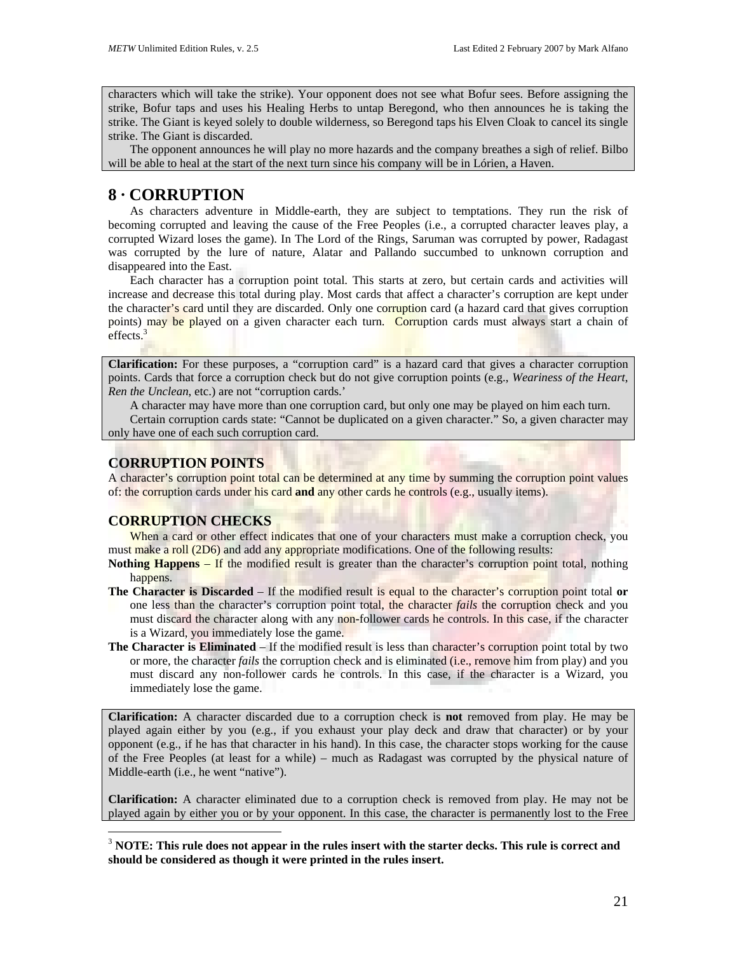characters which will take the strike). Your opponent does not see what Bofur sees. Before assigning the strike, Bofur taps and uses his Healing Herbs to untap Beregond, who then announces he is taking the strike. The Giant is keyed solely to double wilderness, so Beregond taps his Elven Cloak to cancel its single strike. The Giant is discarded.

The opponent announces he will play no more hazards and the company breathes a sigh of relief. Bilbo will be able to heal at the start of the next turn since his company will be in Lórien, a Haven.

# **8 · CORRUPTION**

As characters adventure in Middle-earth, they are subject to temptations. They run the risk of becoming corrupted and leaving the cause of the Free Peoples (i.e., a corrupted character leaves play, a corrupted Wizard loses the game). In The Lord of the Rings, Saruman was corrupted by power, Radagast was corrupted by the lure of nature, Alatar and Pallando succumbed to unknown corruption and disappeared into the East.

Each character has a corruption point total. This starts at zero, but certain cards and activities will increase and decrease this total during play. Most cards that affect a character's corruption are kept under the character's card until they are discarded. Only one corruption card (a hazard card that gives corruption points) may be played on a given character each turn. Corruption cards must always start a chain of effects. $3$ 

**Clarification:** For these purposes, a "corruption card" is a hazard card that gives a character corruption points. Cards that force a corruption check but do not give corruption points (e.g., *Weariness of the Heart*, *Ren the Unclean*, etc.) are not "corruption cards.'

A character may have more than one corruption card, but only one may be played on him each turn.

Certain corruption cards state: "Cannot be duplicated on a given character." So, a given character may only have one of each such corruption card.

## **CORRUPTION POINTS**

A character's corruption point total can be determined at any time by summing the corruption point values of: the corruption cards under his card **and** any other cards he controls (e.g., usually items).

## **CORRUPTION CHECKS**

 $\overline{a}$ 

When a card or other effect indicates that one of your characters must make a corruption check, you must make a roll (2D6) and add any appropriate modifications. One of the following results:

**Nothing Happens** – If the modified result is greater than the character's corruption point total, nothing happens.

- **The Character is Discarded** If the modified result is equal to the character's corruption point total **or** one less than the character's corruption point total, the character *fails* the corruption check and you must discard the character along with any non-follower cards he controls. In this case, if the character is a Wizard, you immediately lose the game.
- **The Character is Eliminated** If the modified result is less than character's corruption point total by two or more, the character *fails* the corruption check and is eliminated (i.e., remove him from play) and you must discard any non-follower cards he controls. In this case, if the character is a Wizard, you immediately lose the game.

**Clarification:** A character discarded due to a corruption check is **not** removed from play. He may be played again either by you (e.g., if you exhaust your play deck and draw that character) or by your opponent (e.g., if he has that character in his hand). In this case, the character stops working for the cause of the Free Peoples (at least for a while) – much as Radagast was corrupted by the physical nature of Middle-earth (i.e., he went "native").

**Clarification:** A character eliminated due to a corruption check is removed from play. He may not be played again by either you or by your opponent. In this case, the character is permanently lost to the Free

<span id="page-20-0"></span><sup>3</sup> **NOTE: This rule does not appear in the rules insert with the starter decks. This rule is correct and should be considered as though it were printed in the rules insert.**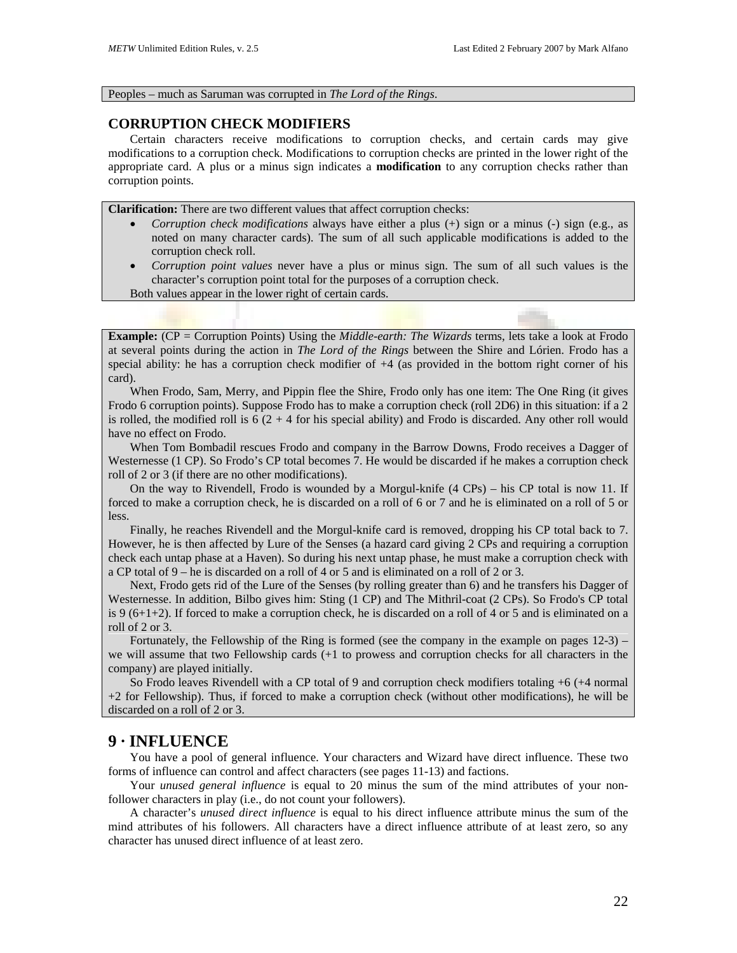#### Peoples – much as Saruman was corrupted in *The Lord of the Rings*.

## **CORRUPTION CHECK MODIFIERS**

Certain characters receive modifications to corruption checks, and certain cards may give modifications to a corruption check. Modifications to corruption checks are printed in the lower right of the appropriate card. A plus or a minus sign indicates a **modification** to any corruption checks rather than corruption points.

**Clarification:** There are two different values that affect corruption checks:

- *Corruption check modifications* always have either a plus (+) sign or a minus (-) sign (e.g., as noted on many character cards). The sum of all such applicable modifications is added to the corruption check roll.
- *Corruption point values* never have a plus or minus sign. The sum of all such values is the character's corruption point total for the purposes of a corruption check.

Both values appear in the lower right of certain cards.

**Example:** (CP = Corruption Points) Using the *Middle-earth: The Wizards* terms, lets take a look at Frodo at several points during the action in *The Lord of the Rings* between the Shire and Lórien. Frodo has a special ability: he has a corruption check modifier of +4 (as provided in the bottom right corner of his card).

When Frodo, Sam, Merry, and Pippin flee the Shire, Frodo only has one item: The One Ring (it gives Frodo 6 corruption points). Suppose Frodo has to make a corruption check (roll 2D6) in this situation: if a 2 is rolled, the modified roll is  $6(2 + 4)$  for his special ability) and Frodo is discarded. Any other roll would have no effect on Frodo.

When Tom Bombadil rescues Frodo and company in the Barrow Downs, Frodo receives a Dagger of Westernesse (1 CP). So Frodo's CP total becomes 7. He would be discarded if he makes a corruption check roll of 2 or 3 (if there are no other modifications).

On the way to Rivendell, Frodo is wounded by a Morgul-knife (4 CPs) – his CP total is now 11. If forced to make a corruption check, he is discarded on a roll of 6 or 7 and he is eliminated on a roll of 5 or less.

Finally, he reaches Rivendell and the Morgul-knife card is removed, dropping his CP total back to 7. However, he is then affected by Lure of the Senses (a hazard card giving 2 CPs and requiring a corruption check each untap phase at a Haven). So during his next untap phase, he must make a corruption check with a CP total of 9 – he is discarded on a roll of 4 or 5 and is eliminated on a roll of 2 or 3.

Next, Frodo gets rid of the Lure of the Senses (by rolling greater than 6) and he transfers his Dagger of Westernesse. In addition, Bilbo gives him: Sting (1 CP) and The Mithril-coat (2 CPs). So Frodo's CP total is 9 (6+1+2). If forced to make a corruption check, he is discarded on a roll of 4 or 5 and is eliminated on a roll of 2 or 3.

Fortunately, the Fellowship of the Ring is formed (see the company in the example on pages 12-3) – we will assume that two Fellowship cards (+1 to prowess and corruption checks for all characters in the company) are played initially.

So Frodo leaves Rivendell with a CP total of 9 and corruption check modifiers totaling +6 (+4 normal +2 for Fellowship). Thus, if forced to make a corruption check (without other modifications), he will be discarded on a roll of 2 or 3.

## **9 · INFLUENCE**

You have a pool of general influence. Your characters and Wizard have direct influence. These two forms of influence can control and affect characters (see pages 11-13) and factions.

Your *unused general influence* is equal to 20 minus the sum of the mind attributes of your nonfollower characters in play (i.e., do not count your followers).

A character's *unused direct influence* is equal to his direct influence attribute minus the sum of the mind attributes of his followers. All characters have a direct influence attribute of at least zero, so any character has unused direct influence of at least zero.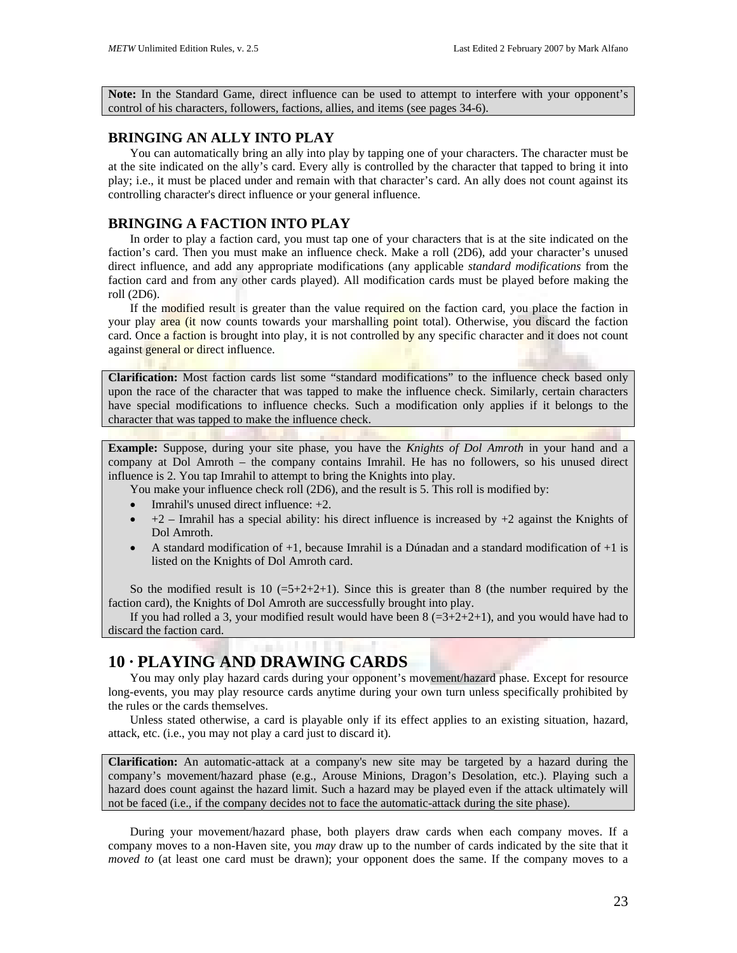**Note:** In the Standard Game, direct influence can be used to attempt to interfere with your opponent's control of his characters, followers, factions, allies, and items (see pages 34-6).

## **BRINGING AN ALLY INTO PLAY**

You can automatically bring an ally into play by tapping one of your characters. The character must be at the site indicated on the ally's card. Every ally is controlled by the character that tapped to bring it into play; i.e., it must be placed under and remain with that character's card. An ally does not count against its controlling character's direct influence or your general influence.

## **BRINGING A FACTION INTO PLAY**

In order to play a faction card, you must tap one of your characters that is at the site indicated on the faction's card. Then you must make an influence check. Make a roll (2D6), add your character's unused direct influence, and add any appropriate modifications (any applicable *standard modifications* from the faction card and from any other cards played). All modification cards must be played before making the roll (2D6).

If the modified result is greater than the value required on the faction card, you place the faction in your play area (it now counts towards your marshalling point total). Otherwise, you discard the faction card. Once a faction is brought into play, it is not controlled by any specific character and it does not count against general or direct influence.

**Clarification:** Most faction cards list some "standard modifications" to the influence check based only upon the race of the character that was tapped to make the influence check. Similarly, certain characters have special modifications to influence checks. Such a modification only applies if it belongs to the character that was tapped to make the influence check.

**Example:** Suppose, during your site phase, you have the *Knights of Dol Amroth* in your hand and a company at Dol Amroth – the company contains Imrahil. He has no followers, so his unused direct influence is 2. You tap Imrahil to attempt to bring the Knights into play.

You make your influence check roll (2D6), and the result is 5. This roll is modified by:

- Imrahil's unused direct influence:  $+2$ .
- $+2$  Imrahil has a special ability: his direct influence is increased by  $+2$  against the Knights of Dol Amroth.
- A standard modification of +1, because Imrahil is a Dúnadan and a standard modification of +1 is listed on the Knights of Dol Amroth card.

So the modified result is  $10$  (=5+2+2+1). Since this is greater than 8 (the number required by the faction card), the Knights of Dol Amroth are successfully brought into play.

If you had rolled a 3, your modified result would have been  $8 (=3+2+2+1)$ , and you would have had to discard the faction card.

# **10 · PLAYING AND DRAWING CARDS**

You may only play hazard cards during your opponent's movement/hazard phase. Except for resource long-events, you may play resource cards anytime during your own turn unless specifically prohibited by the rules or the cards themselves.

Unless stated otherwise, a card is playable only if its effect applies to an existing situation, hazard, attack, etc. (i.e., you may not play a card just to discard it).

**Clarification:** An automatic-attack at a company's new site may be targeted by a hazard during the company's movement/hazard phase (e.g., Arouse Minions, Dragon's Desolation, etc.). Playing such a hazard does count against the hazard limit. Such a hazard may be played even if the attack ultimately will not be faced (i.e., if the company decides not to face the automatic-attack during the site phase).

During your movement/hazard phase, both players draw cards when each company moves. If a company moves to a non-Haven site, you *may* draw up to the number of cards indicated by the site that it *moved to* (at least one card must be drawn); your opponent does the same. If the company moves to a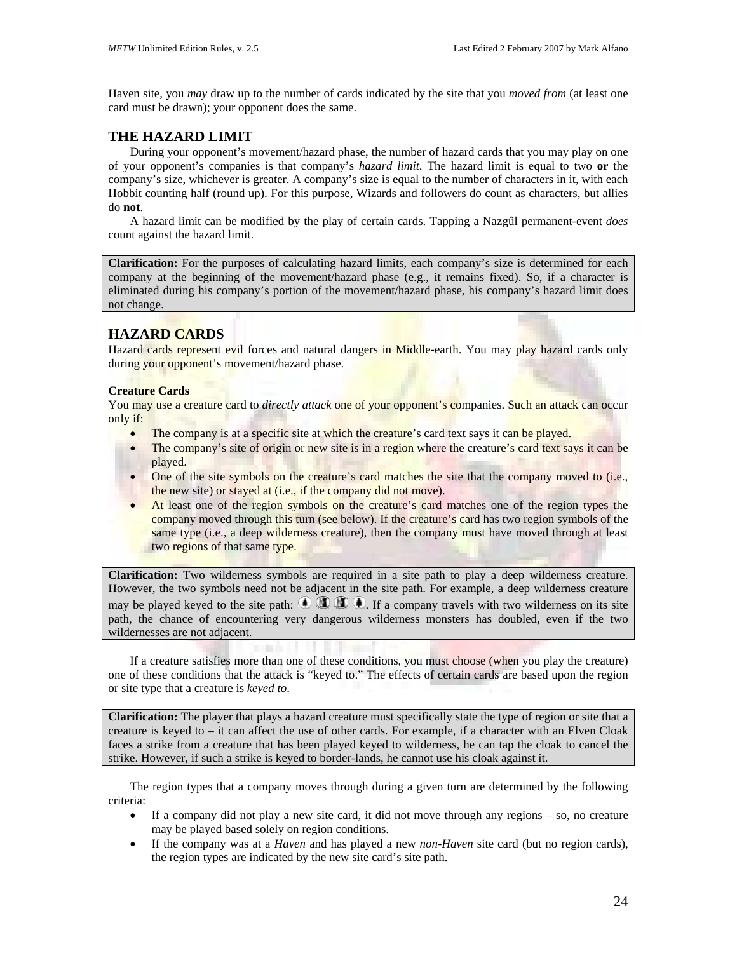Haven site, you *may* draw up to the number of cards indicated by the site that you *moved from* (at least one card must be drawn); your opponent does the same.

## **THE HAZARD LIMIT**

During your opponent's movement/hazard phase, the number of hazard cards that you may play on one of your opponent's companies is that company's *hazard limit*. The hazard limit is equal to two **or** the company's size, whichever is greater. A company's size is equal to the number of characters in it, with each Hobbit counting half (round up). For this purpose, Wizards and followers do count as characters, but allies do **not**.

A hazard limit can be modified by the play of certain cards. Tapping a Nazgûl permanent-event *does* count against the hazard limit.

**Clarification:** For the purposes of calculating hazard limits, each company's size is determined for each company at the beginning of the movement/hazard phase (e.g., it remains fixed). So, if a character is eliminated during his company's portion of the movement/hazard phase, his company's hazard limit does not change.

# **HAZARD CARDS**

Hazard cards represent evil forces and natural dangers in Middle-earth. You may play hazard cards only during your opponent's movement/hazard phase.

## **Creature Cards**

You may use a creature card to *directly attack* one of your opponent's companies. Such an attack can occur only if:

- The company is at a specific site at which the creature's card text says it can be played.
- The company's site of origin or new site is in a region where the creature's card text says it can be played.
- One of the site symbols on the creature's card matches the site that the company moved to (i.e., the new site) or stayed at (i.e., if the company did not move).
- At least one of the region symbols on the creature's card matches one of the region types the company moved through this turn (see below). If the creature's card has two region symbols of the same type (i.e., a deep wilderness creature), then the company must have moved through at least two regions of that same type.

**Clarification:** Two wilderness symbols are required in a site path to play a deep wilderness creature. However, the two symbols need not be adjacent in the site path. For example, a deep wilderness creature may be played keyed to the site path:  $\mathbf{0} \times \mathbf{0}$ . If a company travels with two wilderness on its site path, the chance of encountering very dangerous wilderness monsters has doubled, even if the two wildernesses are not adjacent.

If a creature satisfies more than one of these conditions, you must choose (when you play the creature) one of these conditions that the attack is "keyed to." The effects of certain cards are based upon the region or site type that a creature is *keyed to*.

**Clarification:** The player that plays a hazard creature must specifically state the type of region or site that a creature is keyed to – it can affect the use of other cards. For example, if a character with an Elven Cloak faces a strike from a creature that has been played keyed to wilderness, he can tap the cloak to cancel the strike. However, if such a strike is keyed to border-lands, he cannot use his cloak against it.

The region types that a company moves through during a given turn are determined by the following criteria:

- If a company did not play a new site card, it did not move through any regions so, no creature may be played based solely on region conditions.
- If the company was at a *Haven* and has played a new *non-Haven* site card (but no region cards), the region types are indicated by the new site card's site path.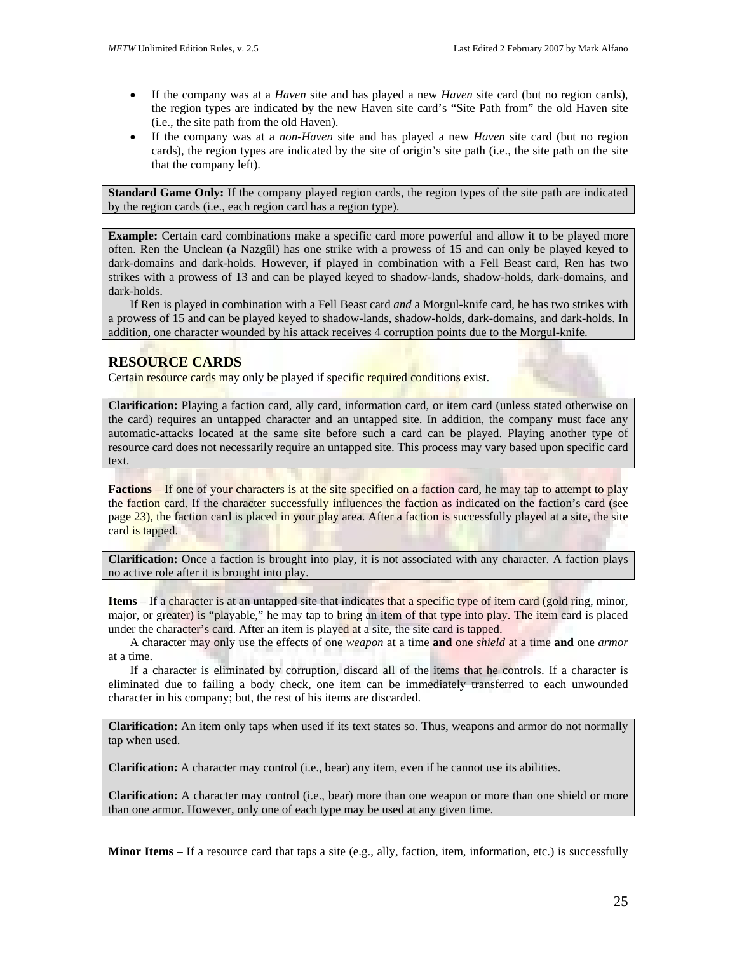- If the company was at a *Haven* site and has played a new *Haven* site card (but no region cards), the region types are indicated by the new Haven site card's "Site Path from" the old Haven site (i.e., the site path from the old Haven).
- If the company was at a *non-Haven* site and has played a new *Haven* site card (but no region cards), the region types are indicated by the site of origin's site path (i.e., the site path on the site that the company left).

**Standard Game Only:** If the company played region cards, the region types of the site path are indicated by the region cards (i.e., each region card has a region type).

**Example:** Certain card combinations make a specific card more powerful and allow it to be played more often. Ren the Unclean (a Nazgûl) has one strike with a prowess of 15 and can only be played keyed to dark-domains and dark-holds. However, if played in combination with a Fell Beast card, Ren has two strikes with a prowess of 13 and can be played keyed to shadow-lands, shadow-holds, dark-domains, and dark-holds.

If Ren is played in combination with a Fell Beast card *and* a Morgul-knife card, he has two strikes with a prowess of 15 and can be played keyed to shadow-lands, shadow-holds, dark-domains, and dark-holds. In addition, one character wounded by his attack receives 4 corruption points due to the Morgul-knife.

## **RESOURCE CARDS**

Certain resource cards may only be played if specific required conditions exist.

**Clarification:** Playing a faction card, ally card, information card, or item card (unless stated otherwise on the card) requires an untapped character and an untapped site. In addition, the company must face any automatic-attacks located at the same site before such a card can be played. Playing another type of resource card does not necessarily require an untapped site. This process may vary based upon specific card text.

**Factions** – If one of your characters is at the site specified on a faction card, he may tap to attempt to play the faction card. If the character successfully influences the faction as indicated on the faction's card (see page 23), the faction card is placed in your play area. After a faction is successfully played at a site, the site card is tapped.

**Clarification:** Once a faction is brought into play, it is not associated with any character. A faction plays no active role after it is brought into play.

**Items** – If a character is at an untapped site that indicates that a specific type of item card (gold ring, minor, major, or greater) is "playable," he may tap to bring an item of that type into play. The item card is placed under the character's card. After an item is played at a site, the site card is tapped.

A character may only use the effects of one *weapon* at a time **and** one *shield* at a time **and** one *armor* at a time.

If a character is eliminated by corruption, discard all of the items that he controls. If a character is eliminated due to failing a body check, one item can be immediately transferred to each unwounded character in his company; but, the rest of his items are discarded.

**Clarification:** An item only taps when used if its text states so. Thus, weapons and armor do not normally tap when used.

**Clarification:** A character may control (i.e., bear) any item, even if he cannot use its abilities.

**Clarification:** A character may control (i.e., bear) more than one weapon or more than one shield or more than one armor. However, only one of each type may be used at any given time.

**Minor Items** – If a resource card that taps a site (e.g., ally, faction, item, information, etc.) is successfully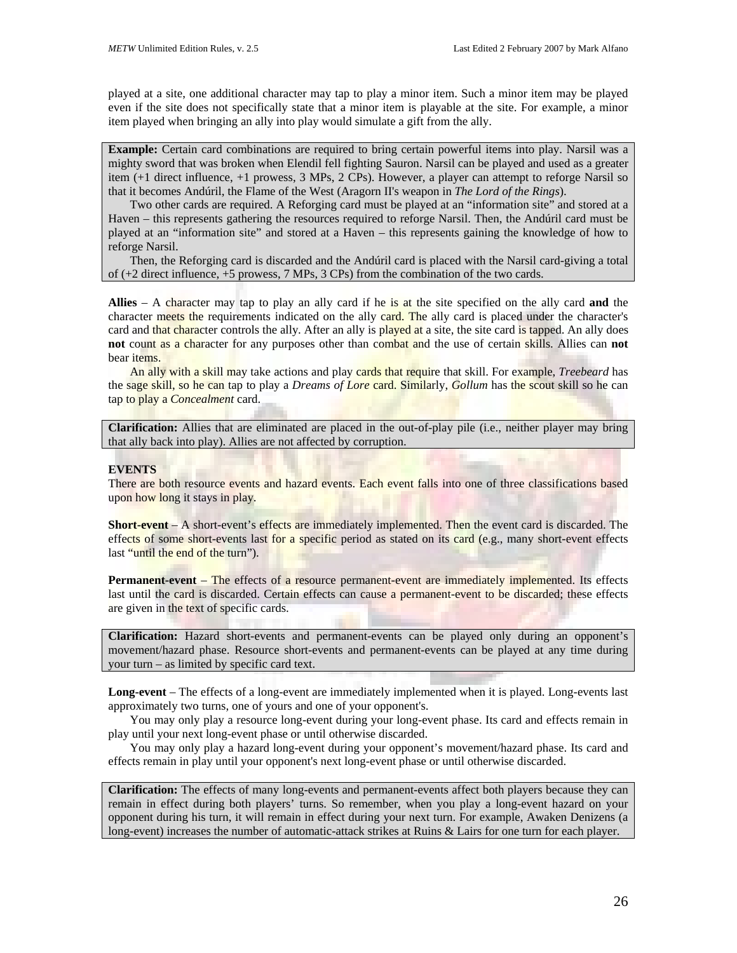played at a site, one additional character may tap to play a minor item. Such a minor item may be played even if the site does not specifically state that a minor item is playable at the site. For example, a minor item played when bringing an ally into play would simulate a gift from the ally.

**Example:** Certain card combinations are required to bring certain powerful items into play. Narsil was a mighty sword that was broken when Elendil fell fighting Sauron. Narsil can be played and used as a greater item (+1 direct influence, +1 prowess, 3 MPs, 2 CPs). However, a player can attempt to reforge Narsil so that it becomes Andúril, the Flame of the West (Aragorn II's weapon in *The Lord of the Rings*).

Two other cards are required. A Reforging card must be played at an "information site" and stored at a Haven – this represents gathering the resources required to reforge Narsil. Then, the Andúril card must be played at an "information site" and stored at a Haven – this represents gaining the knowledge of how to reforge Narsil.

Then, the Reforging card is discarded and the Andúril card is placed with the Narsil card-giving a total of (+2 direct influence, +5 prowess, 7 MPs, 3 CPs) from the combination of the two cards.

**Allies** – A character may tap to play an ally card if he is at the site specified on the ally card **and** the character meets the requirements indicated on the ally card. The ally card is placed under the character's card and that character controls the ally. After an ally is played at a site, the site card is tapped. An ally does **not** count as a character for any purposes other than combat and the use of certain skills. Allies can **not** bear items.

An ally with a skill may take actions and play cards that require that skill. For example, *Treebeard* has the sage skill, so he can tap to play a *Dreams of Lore* card. Similarly, *Gollum* has the scout skill so he can tap to play a *Concealment* card.

**Clarification:** Allies that are eliminated are placed in the out-of-play pile (i.e., neither player may bring that ally back into play). Allies are not affected by corruption.

## **EVENTS**

There are both resource events and hazard events. Each event falls into one of three classifications based upon how long it stays in play.

**Short-event** – A short-event's effects are immediately implemented. Then the event card is discarded. The effects of some short-events last for a specific period as stated on its card (e.g., many short-event effects last "until the end of the turn").

**Permanent-event** – The effects of a resource permanent-event are immediately implemented. Its effects last until the card is discarded. Certain effects can cause a permanent-event to be discarded; these effects are given in the text of specific cards.

**Clarification:** Hazard short-events and permanent-events can be played only during an opponent's movement/hazard phase. Resource short-events and permanent-events can be played at any time during your turn – as limited by specific card text.

**Long-event** – The effects of a long-event are immediately implemented when it is played. Long-events last approximately two turns, one of yours and one of your opponent's.

You may only play a resource long-event during your long-event phase. Its card and effects remain in play until your next long-event phase or until otherwise discarded.

You may only play a hazard long-event during your opponent's movement/hazard phase. Its card and effects remain in play until your opponent's next long-event phase or until otherwise discarded.

**Clarification:** The effects of many long-events and permanent-events affect both players because they can remain in effect during both players' turns. So remember, when you play a long-event hazard on your opponent during his turn, it will remain in effect during your next turn. For example, Awaken Denizens (a long-event) increases the number of automatic-attack strikes at Ruins & Lairs for one turn for each player.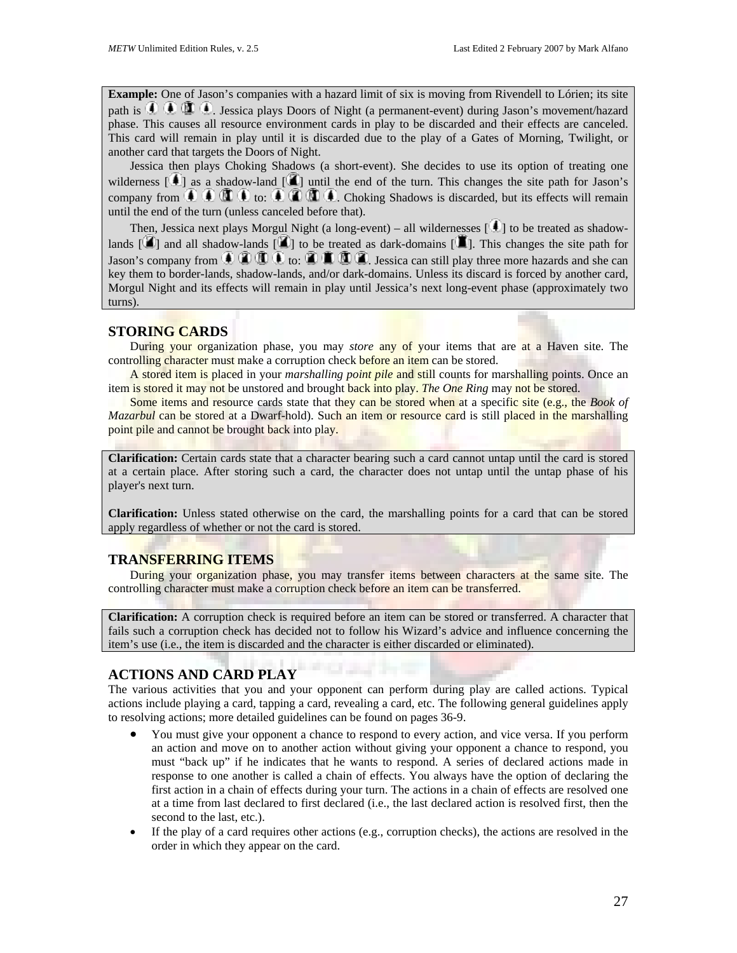**Example:** One of Jason's companies with a hazard limit of six is moving from Rivendell to Lórien; its site path is  $\bigoplus_{i=1}^{\infty} \bigoplus_{i=1}^{\infty} \bigoplus_{i=1}^{\infty} \bigoplus_{i=1}^{\infty} \bigoplus_{i=1}^{\infty} \bigoplus_{i=1}^{\infty} \bigoplus_{i=1}^{\infty} \bigoplus_{i=1}^{\infty} \bigoplus_{i=1}^{\infty} \bigoplus_{i=1}^{\infty} \bigoplus_{i=1}^{\infty} \bigoplus_{i=1}^{\infty} \bigoplus_{i=1}^{\infty} \bigoplus_{i=1}^{\infty} \bigoplus_{i=1}^{\infty} \big$ phase. This causes all resource environment cards in play to be discarded and their effects are canceled. This card will remain in play until it is discarded due to the play of a Gates of Morning, Twilight, or another card that targets the Doors of Night.

Jessica then plays Choking Shadows (a short-event). She decides to use its option of treating one wilderness  $[\cdot]$  as a shadow-land  $[\cdot]$  until the end of the turn. This changes the site path for Jason's company from  $\mathbb{C}$   $\mathbb{C}$   $\mathbb{C}$   $\mathbb{C}$  to:  $\mathbb{C}$   $\mathbb{C}$   $\mathbb{C}$   $\mathbb{C}$ . Choking Shadows is discarded, but its effects will remain until the end of the turn (unless canceled before that).

Then, Jessica next plays Morgul Night (a long-event) – all wildernesses  $\lceil \cdot \cdot \rceil$  to be treated as shadowlands  $[\mathbf{X}]$  and all shadow-lands  $[\mathbf{X}]$  to be treated as dark-domains  $[\mathbf{X}]$ . This changes the site path for Jason's company from  $\bigoplus$   $\bigoplus$   $\bigoplus$   $\bigoplus$   $\bigoplus$   $\bigoplus$   $\bigoplus$ . Jessica can still play three more hazards and she can key them to border-lands, shadow-lands, and/or dark-domains. Unless its discard is forced by another card, Morgul Night and its effects will remain in play until Jessica's next long-event phase (approximately two turns).

## **STORING CARDS**

During your organization phase, you may *store* any of your items that are at a Haven site. The controlling character must make a corruption check before an item can be stored.

A stored item is placed in your *marshalling point pile* and still counts for marshalling points. Once an item is stored it may not be unstored and brought back into play. *The One Ring* may not be stored.

Some items and resource cards state that they can be stored when at a specific site (e.g., the *Book of Mazarbul* can be stored at a Dwarf-hold). Such an item or resource card is still placed in the marshalling point pile and cannot be brought back into play.

**Clarification:** Certain cards state that a character bearing such a card cannot untap until the card is stored at a certain place. After storing such a card, the character does not untap until the untap phase of his player's next turn.

**Clarification:** Unless stated otherwise on the card, the marshalling points for a card that can be stored apply regardless of whether or not the card is stored.

## **TRANSFERRING ITEMS**

During your organization phase, you may transfer items between characters at the same site. The controlling character must make a corruption check before an item can be transferred.

**Clarification:** A corruption check is required before an item can be stored or transferred. A character that fails such a corruption check has decided not to follow his Wizard's advice and influence concerning the item's use (i.e., the item is discarded and the character is either discarded or eliminated).

# **ACTIONS AND CARD PLAY**

The various activities that you and your opponent can perform during play are called actions. Typical actions include playing a card, tapping a card, revealing a card, etc. The following general guidelines apply to resolving actions; more detailed guidelines can be found on pages 36-9.

- You must give your opponent a chance to respond to every action, and vice versa. If you perform an action and move on to another action without giving your opponent a chance to respond, you must "back up" if he indicates that he wants to respond. A series of declared actions made in response to one another is called a chain of effects. You always have the option of declaring the first action in a chain of effects during your turn. The actions in a chain of effects are resolved one at a time from last declared to first declared (i.e., the last declared action is resolved first, then the second to the last, etc.).
- If the play of a card requires other actions (e.g., corruption checks), the actions are resolved in the order in which they appear on the card.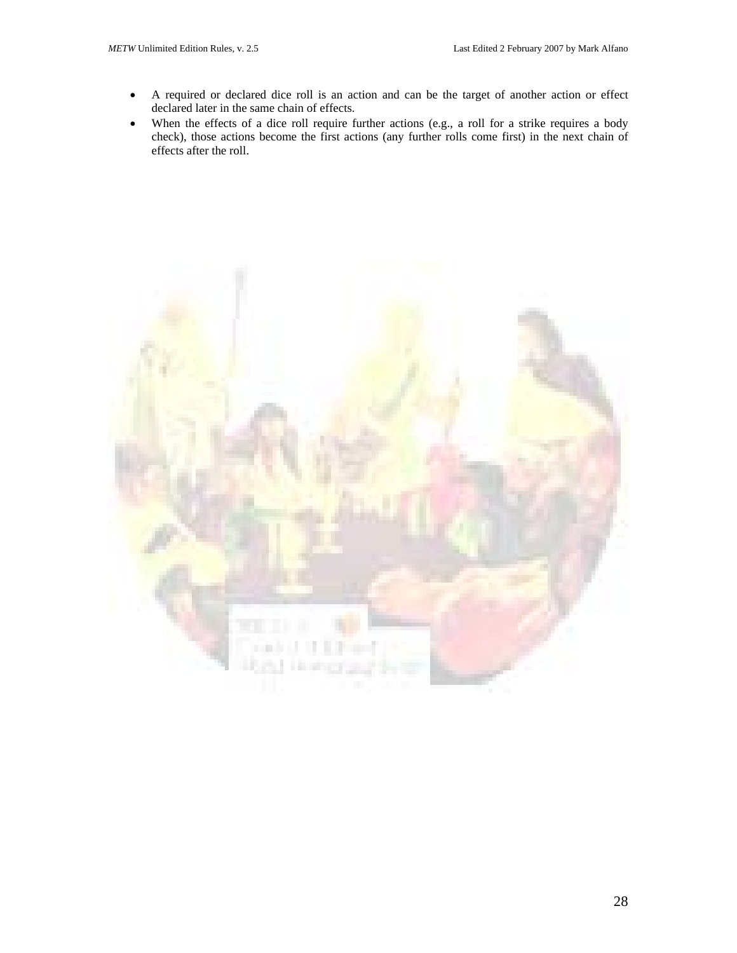- A required or declared dice roll is an action and can be the target of another action or effect declared later in the same chain of effects.
- When the effects of a dice roll require further actions (e.g., a roll for a strike requires a body check), those actions become the first actions (any further rolls come first) in the next chain of effects after the roll.

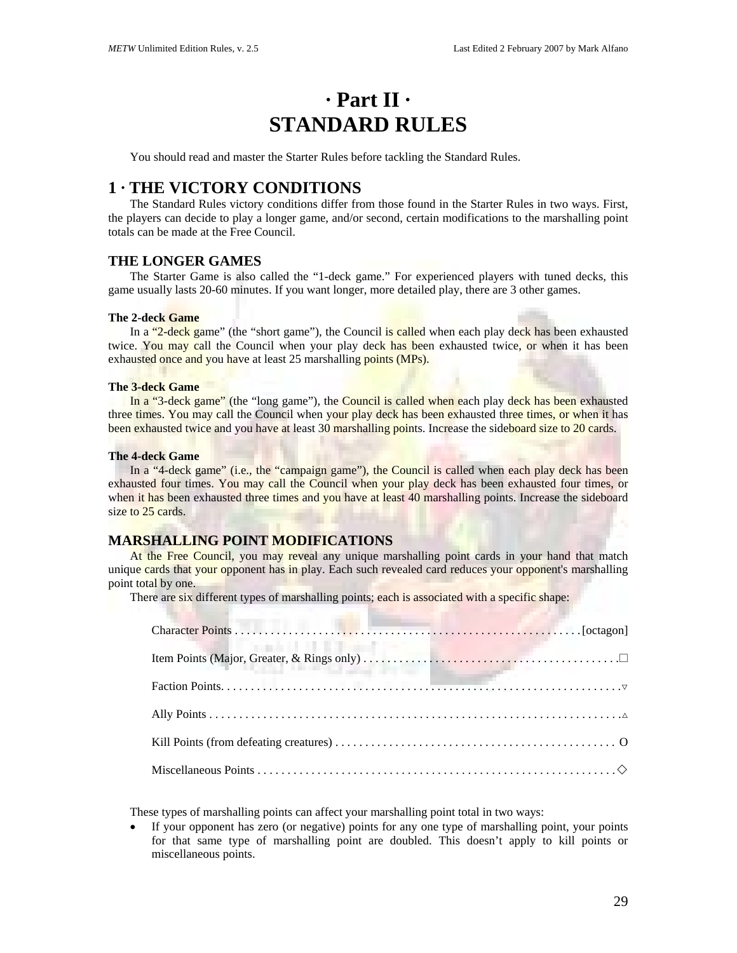# **· Part II · STANDARD RULES**

You should read and master the Starter Rules before tackling the Standard Rules.

# **1 · THE VICTORY CONDITIONS**

The Standard Rules victory conditions differ from those found in the Starter Rules in two ways. First, the players can decide to play a longer game, and/or second, certain modifications to the marshalling point totals can be made at the Free Council.

## **THE LONGER GAMES**

The Starter Game is also called the "1-deck game." For experienced players with tuned decks, this game usually lasts 20-60 minutes. If you want longer, more detailed play, there are 3 other games.

#### **The 2-deck Game**

In a "2-deck game" (the "short game"), the Council is called when each play deck has been exhausted twice. You may call the Council when your play deck has been exhausted twice, or when it has been exhausted once and you have at least 25 marshalling points (MPs).

#### **The 3-deck Game**

In a "3-deck game" (the "long game"), the Council is called when each play deck has been exhausted three times. You may call the Council when your play deck has been exhausted three times, or when it has been exhausted twice and you have at least 30 marshalling points. Increase the sideboard size to 20 cards.

#### **The 4-deck Game**

In a "4-deck game" (i.e., the "campaign game"), the Council is called when each play deck has been exhausted four times. You may call the Council when your play deck has been exhausted four times, or when it has been exhausted three times and you have at least 40 marshalling points. Increase the sideboard size to 25 cards.

## **MARSHALLING POINT MODIFICATIONS**

At the Free Council, you may reveal any unique marshalling point cards in your hand that match unique cards that your opponent has in play. Each such revealed card reduces your opponent's marshalling point total by one.

There are six different types of marshalling points; each is associated with a specific shape:

| the product of the first product that                                                                                                                            |  |
|------------------------------------------------------------------------------------------------------------------------------------------------------------------|--|
|                                                                                                                                                                  |  |
| $\textbf{Factor Points.}\label{eq:factorization} \vspace{-0.1cm} \textbf{Factor Points.}\hspace{0.05cm} \textbf{.} \vspace{-0.05cm} \textbf{.} \vspace{-0.05cm}$ |  |
|                                                                                                                                                                  |  |
|                                                                                                                                                                  |  |
|                                                                                                                                                                  |  |

These types of marshalling points can affect your marshalling point total in two ways:

• If your opponent has zero (or negative) points for any one type of marshalling point, your points for that same type of marshalling point are doubled. This doesn't apply to kill points or miscellaneous points.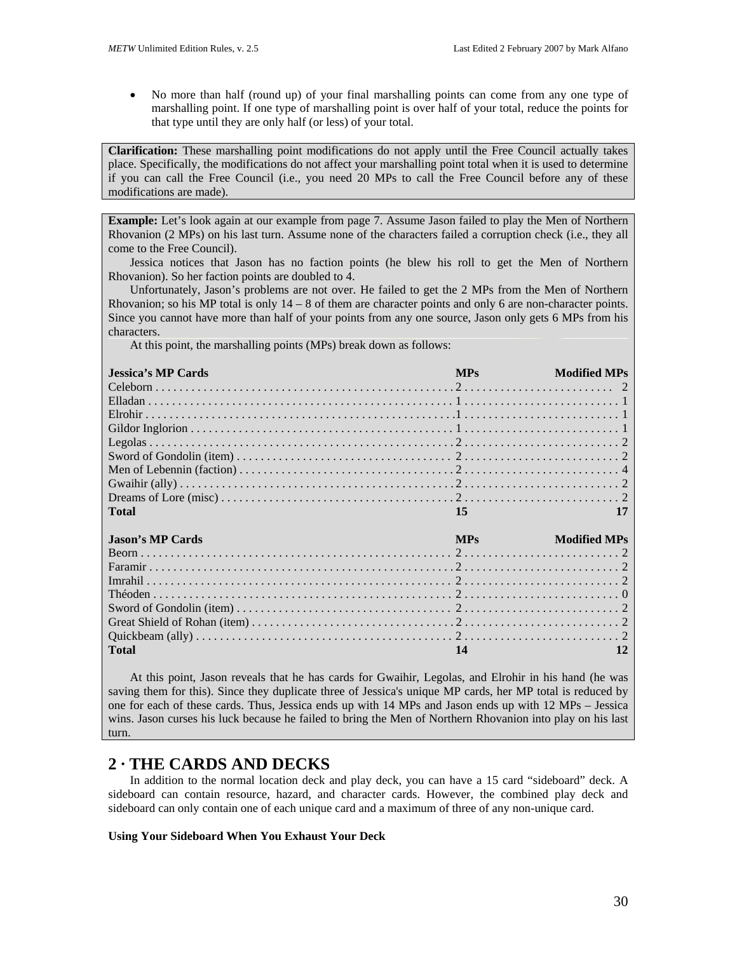• No more than half (round up) of your final marshalling points can come from any one type of marshalling point. If one type of marshalling point is over half of your total, reduce the points for that type until they are only half (or less) of your total.

**Clarification:** These marshalling point modifications do not apply until the Free Council actually takes place. Specifically, the modifications do not affect your marshalling point total when it is used to determine if you can call the Free Council (i.e., you need 20 MPs to call the Free Council before any of these modifications are made).

**Example:** Let's look again at our example from page 7. Assume Jason failed to play the Men of Northern Rhovanion (2 MPs) on his last turn. Assume none of the characters failed a corruption check (i.e., they all come to the Free Council).

Jessica notices that Jason has no faction points (he blew his roll to get the Men of Northern Rhovanion). So her faction points are doubled to 4.

Unfortunately, Jason's problems are not over. He failed to get the 2 MPs from the Men of Northern Rhovanion; so his MP total is only 14 – 8 of them are character points and only 6 are non-character points. Since you cannot have more than half of your points from any one source, Jason only gets 6 MPs from his characters.

At this point, the marshalling points (MPs) break down as follows:

| <b>Jessica's MP Cards</b> | <b>MPs</b> | <b>Modified MPs</b> |
|---------------------------|------------|---------------------|
|                           |            |                     |
|                           |            |                     |
|                           |            |                     |
|                           |            |                     |
|                           |            |                     |
|                           |            |                     |
|                           |            |                     |
|                           |            |                     |
|                           |            |                     |
| <b>Total</b>              | 15         |                     |
| <b>Jason's MP Cards</b>   | <b>MPs</b> | <b>Modified MPs</b> |
|                           |            |                     |
|                           |            |                     |
|                           |            |                     |
|                           |            |                     |
|                           |            |                     |
|                           |            |                     |
|                           |            |                     |

At this point, Jason reveals that he has cards for Gwaihir, Legolas, and Elrohir in his hand (he was saving them for this). Since they duplicate three of Jessica's unique MP cards, her MP total is reduced by one for each of these cards. Thus, Jessica ends up with 14 MPs and Jason ends up with 12 MPs – Jessica wins. Jason curses his luck because he failed to bring the Men of Northern Rhovanion into play on his last turn.

# **2 · THE CARDS AND DECKS**

In addition to the normal location deck and play deck, you can have a 15 card "sideboard" deck. A sideboard can contain resource, hazard, and character cards. However, the combined play deck and sideboard can only contain one of each unique card and a maximum of three of any non-unique card.

## **Using Your Sideboard When You Exhaust Your Deck**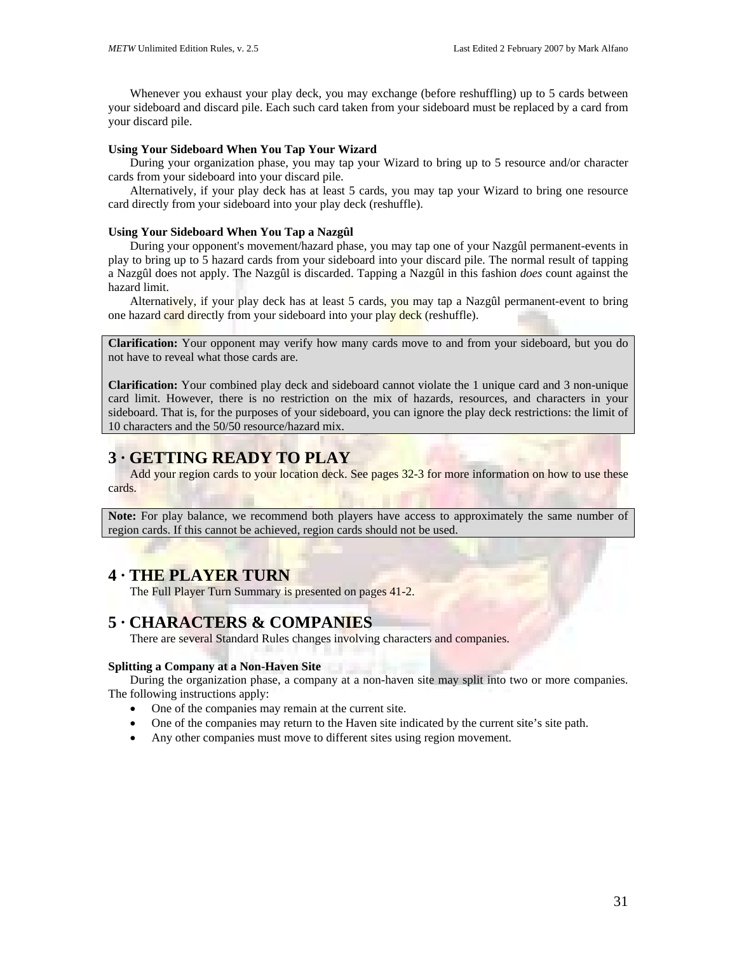Whenever you exhaust your play deck, you may exchange (before reshuffling) up to 5 cards between your sideboard and discard pile. Each such card taken from your sideboard must be replaced by a card from your discard pile.

## **Using Your Sideboard When You Tap Your Wizard**

During your organization phase, you may tap your Wizard to bring up to 5 resource and/or character cards from your sideboard into your discard pile.

Alternatively, if your play deck has at least 5 cards, you may tap your Wizard to bring one resource card directly from your sideboard into your play deck (reshuffle).

### **Using Your Sideboard When You Tap a Nazgûl**

During your opponent's movement/hazard phase, you may tap one of your Nazgûl permanent-events in play to bring up to 5 hazard cards from your sideboard into your discard pile. The normal result of tapping a Nazgûl does not apply. The Nazgûl is discarded. Tapping a Nazgûl in this fashion *does* count against the hazard limit.

Alternatively, if your play deck has at least 5 cards, you may tap a Nazgûl permanent-event to bring one hazard card directly from your sideboard into your play deck (reshuffle).

**Clarification:** Your opponent may verify how many cards move to and from your sideboard, but you do not have to reveal what those cards are.

**Clarification:** Your combined play deck and sideboard cannot violate the 1 unique card and 3 non-unique card limit. However, there is no restriction on the mix of hazards, resources, and characters in your sideboard. That is, for the purposes of your sideboard, you can ignore the play deck restrictions: the limit of 10 characters and the 50/50 resource/hazard mix.

# **3 · GETTING READY TO PLAY**

Add your region cards to your location deck. See pages 32-3 for more information on how to use these cards.

**Note:** For play balance, we recommend both players have access to approximately the same number of region cards. If this cannot be achieved, region cards should not be used.

# **4 · THE PLAYER TURN**

The Full Player Turn Summary is presented on pages 41-2.

# **5 · CHARACTERS & COMPANIES**

There are several Standard Rules changes involving characters and companies.

### **Splitting a Company at a Non-Haven Site**

During the organization phase, a company at a non-haven site may split into two or more companies. The following instructions apply:

- One of the companies may remain at the current site.
- One of the companies may return to the Haven site indicated by the current site's site path.
- Any other companies must move to different sites using region movement.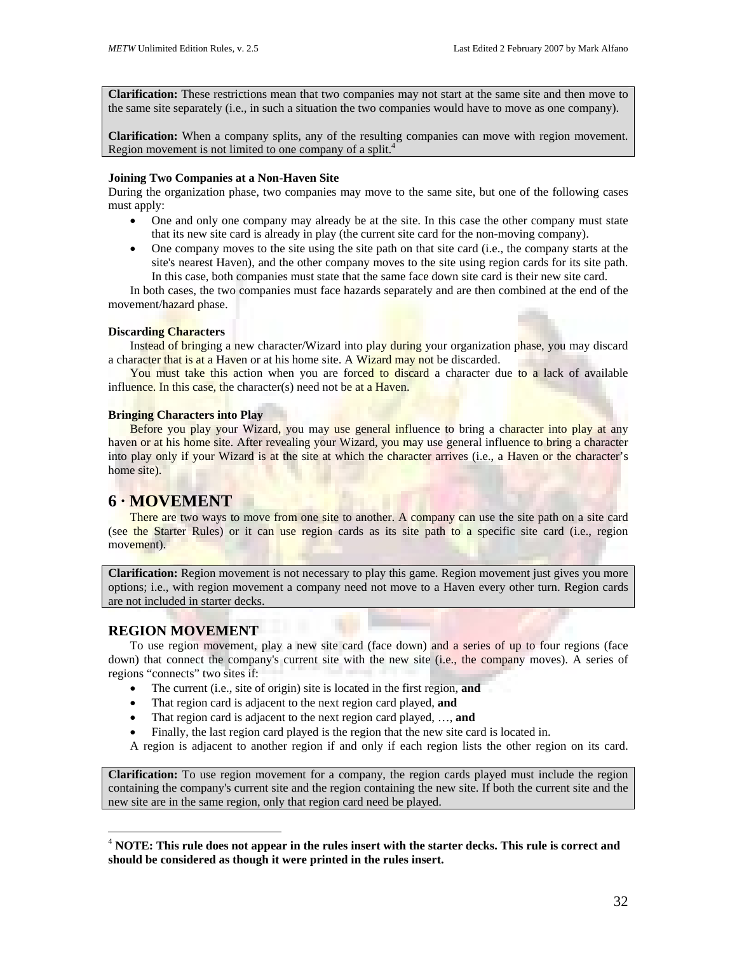**Clarification:** These restrictions mean that two companies may not start at the same site and then move to the same site separately (i.e., in such a situation the two companies would have to move as one company).

**Clarification:** When a company splits, any of the resulting companies can move with region movement. Region movement is not limited to one company of a split.<sup>4</sup>

#### **Joining Two Companies at a Non-Haven Site**

During the organization phase, two companies may move to the same site, but one of the following cases must apply:

- One and only one company may already be at the site. In this case the other company must state that its new site card is already in play (the current site card for the non-moving company).
- One company moves to the site using the site path on that site card (i.e., the company starts at the site's nearest Haven), and the other company moves to the site using region cards for its site path. In this case, both companies must state that the same face down site card is their new site card.

In both cases, the two companies must face hazards separately and are then combined at the end of the movement/hazard phase.

### **Discarding Characters**

Instead of bringing a new character/Wizard into play during your organization phase, you may discard a character that is at a Haven or at his home site. A Wizard may not be discarded.

You must take this action when you are forced to discard a character due to a lack of available influence. In this case, the character(s) need not be at a Haven.

#### **Bringing Characters into Play**

Before you play your Wizard, you may use general influence to bring a character into play at any haven or at his home site. After revealing your Wizard, you may use general influence to bring a character into play only if your Wizard is at the site at which the character arrives (i.e., a Haven or the character's home site).

## **6 · MOVEMENT**

There are two ways to move from one site to another. A company can use the site path on a site card (see the Starter Rules) or it can use region cards as its site path to a specific site card (i.e., region movement).

**Clarification:** Region movement is not necessary to play this game. Region movement just gives you more options; i.e., with region movement a company need not move to a Haven every other turn. Region cards are not included in starter decks.

# **REGION MOVEMENT**

 $\overline{a}$ 

To use region movement, play a new site card (face down) and a series of up to four regions (face down) that connect the company's current site with the new site (i.e., the company moves). A series of regions "connects" two sites if:

- The current (i.e., site of origin) site is located in the first region, **and**
- That region card is adjacent to the next region card played, **and**
- That region card is adjacent to the next region card played, …, **and**
- Finally, the last region card played is the region that the new site card is located in.

A region is adjacent to another region if and only if each region lists the other region on its card.

**Clarification:** To use region movement for a company, the region cards played must include the region containing the company's current site and the region containing the new site. If both the current site and the new site are in the same region, only that region card need be played.

<span id="page-31-0"></span><sup>4</sup> **NOTE: This rule does not appear in the rules insert with the starter decks. This rule is correct and should be considered as though it were printed in the rules insert.**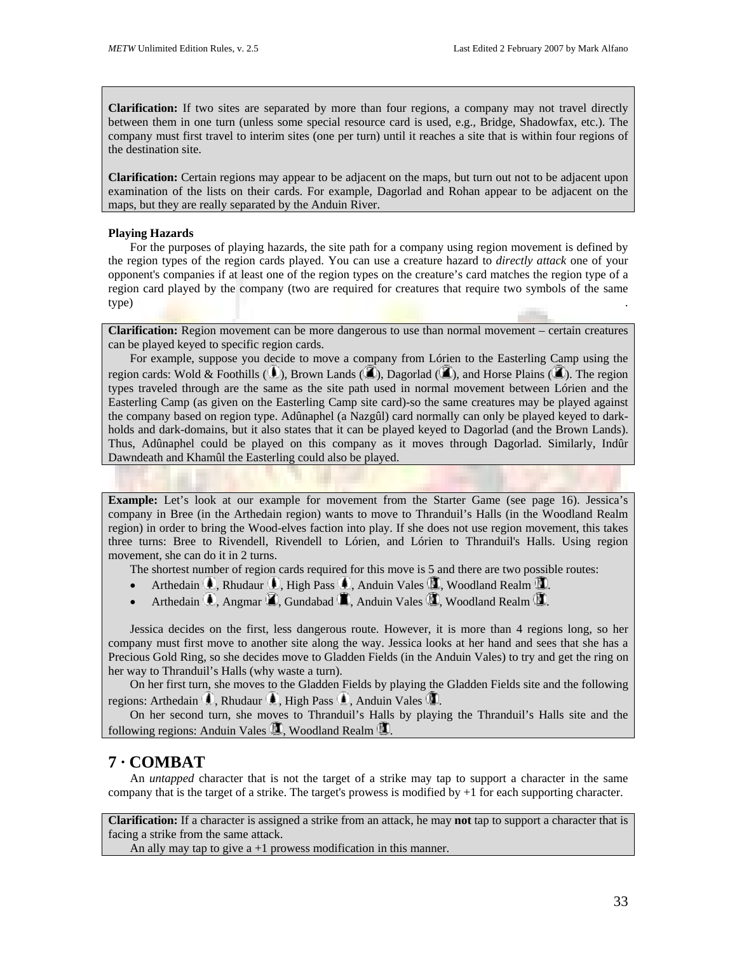**Clarification:** If two sites are separated by more than four regions, a company may not travel directly between them in one turn (unless some special resource card is used, e.g., Bridge, Shadowfax, etc.). The company must first travel to interim sites (one per turn) until it reaches a site that is within four regions of the destination site.

**Clarification:** Certain regions may appear to be adjacent on the maps, but turn out not to be adjacent upon examination of the lists on their cards. For example, Dagorlad and Rohan appear to be adjacent on the maps, but they are really separated by the Anduin River.

#### **Playing Hazards**

For the purposes of playing hazards, the site path for a company using region movement is defined by the region types of the region cards played. You can use a creature hazard to *directly attack* one of your opponent's companies if at least one of the region types on the creature's card matches the region type of a region card played by the company (two are required for creatures that require two symbols of the same type) .

**Clarification:** Region movement can be more dangerous to use than normal movement – certain creatures can be played keyed to specific region cards.

For example, suppose you decide to move a company from Lórien to the Easterling Camp using the region cards: Wold & Foothills ( $\Box$ ), Brown Lands ( $\Box$ ), Dagorlad ( $\Box$ ), and Horse Plains ( $\Box$ ). The region types traveled through are the same as the site path used in normal movement between Lórien and the Easterling Camp (as given on the Easterling Camp site card)-so the same creatures may be played against the company based on region type. Adûnaphel (a Nazgûl) card normally can only be played keyed to darkholds and dark-domains, but it also states that it can be played keyed to Dagorlad (and the Brown Lands). Thus, Adûnaphel could be played on this company as it moves through Dagorlad. Similarly, Indûr Dawndeath and Khamûl the Easterling could also be played.

**Example:** Let's look at our example for movement from the Starter Game (see page 16). Jessica's company in Bree (in the Arthedain region) wants to move to Thranduil's Halls (in the Woodland Realm region) in order to bring the Wood-elves faction into play. If she does not use region movement, this takes three turns: Bree to Rivendell, Rivendell to Lórien, and Lórien to Thranduil's Halls. Using region movement, she can do it in 2 turns.

The shortest number of region cards required for this move is 5 and there are two possible routes:

- Arthedain  $\mathbb{D}$ , Rhudaur  $\mathbb{D}$ , High Pass  $\mathbb{D}$ , Anduin Vales  $\mathbb{D}$ , Woodland Realm  $\mathbb{D}$ .
- Arthedain  $\blacksquare$ , Angmar  $\blacksquare$ , Gundabad  $\blacksquare$ , Anduin Vales  $\blacksquare$ , Woodland Realm  $\blacksquare$ .

Jessica decides on the first, less dangerous route. However, it is more than 4 regions long, so her company must first move to another site along the way. Jessica looks at her hand and sees that she has a Precious Gold Ring, so she decides move to Gladden Fields (in the Anduin Vales) to try and get the ring on her way to Thranduil's Halls (why waste a turn).

On her first turn, she moves to the Gladden Fields by playing the Gladden Fields site and the following regions: Arthedain  $\blacksquare$ , Rhudaur  $\blacksquare$ , High Pass  $\blacksquare$ , Anduin Vales  $\blacksquare$ .

On her second turn, she moves to Thranduil's Halls by playing the Thranduil's Halls site and the following regions: Anduin Vales  $\mathbb{Z}$ , Woodland Realm  $\mathbb{Z}$ .

# **7 · COMBAT**

An *untapped* character that is not the target of a strike may tap to support a character in the same company that is the target of a strike. The target's prowess is modified by +1 for each supporting character.

**Clarification:** If a character is assigned a strike from an attack, he may **not** tap to support a character that is facing a strike from the same attack.

An ally may tap to give  $a + 1$  prowess modification in this manner.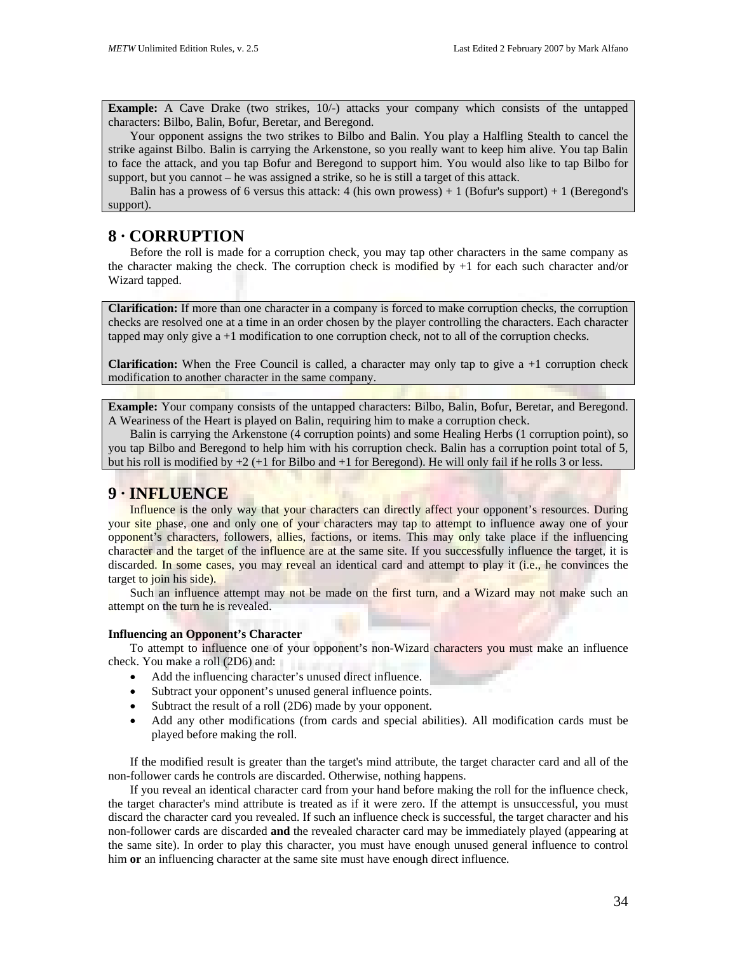**Example:** A Cave Drake (two strikes,  $10/-$ ) attacks your company which consists of the untapped characters: Bilbo, Balin, Bofur, Beretar, and Beregond.

Your opponent assigns the two strikes to Bilbo and Balin. You play a Halfling Stealth to cancel the strike against Bilbo. Balin is carrying the Arkenstone, so you really want to keep him alive. You tap Balin to face the attack, and you tap Bofur and Beregond to support him. You would also like to tap Bilbo for support, but you cannot – he was assigned a strike, so he is still a target of this attack.

Balin has a prowess of 6 versus this attack: 4 (his own prowess)  $+1$  (Bofur's support)  $+1$  (Beregond's support).

# **8 · CORRUPTION**

Before the roll is made for a corruption check, you may tap other characters in the same company as the character making the check. The corruption check is modified by  $+1$  for each such character and/or Wizard tapped.

**Clarification:** If more than one character in a company is forced to make corruption checks, the corruption checks are resolved one at a time in an order chosen by the player controlling the characters. Each character tapped may only give  $a + 1$  modification to one corruption check, not to all of the corruption checks.

**Clarification:** When the Free Council is called, a character may only tap to give a +1 corruption check modification to another character in the same company.

**Example:** Your company consists of the untapped characters: Bilbo, Balin, Bofur, Beretar, and Beregond. A Weariness of the Heart is played on Balin, requiring him to make a corruption check.

Balin is carrying the Arkenstone (4 corruption points) and some Healing Herbs (1 corruption point), so you tap Bilbo and Beregond to help him with his corruption check. Balin has a corruption point total of 5, but his roll is modified by  $+2$  ( $+1$  for Bilbo and  $+1$  for Beregond). He will only fail if he rolls 3 or less.

# **9 · INFLUENCE**

Influence is the only way that your characters can directly affect your opponent's resources. During your site phase, one and only one of your characters may tap to attempt to influence away one of your opponent's characters, followers, allies, factions, or items. This may only take place if the influencing character and the target of the influence are at the same site. If you successfully influence the target, it is discarded. In some cases, you may reveal an identical card and attempt to play it (i.e., he convinces the target to join his side).

Such an influence attempt may not be made on the first turn, and a Wizard may not make such an attempt on the turn he is revealed.

### **Influencing an Opponent's Character**

To attempt to influence one of your opponent's non-Wizard characters you must make an influence check. You make a roll (2D6) and:

- Add the influencing character's unused direct influence.
- Subtract your opponent's unused general influence points.
- Subtract the result of a roll (2D6) made by your opponent.
- Add any other modifications (from cards and special abilities). All modification cards must be played before making the roll.

If the modified result is greater than the target's mind attribute, the target character card and all of the non-follower cards he controls are discarded. Otherwise, nothing happens.

If you reveal an identical character card from your hand before making the roll for the influence check, the target character's mind attribute is treated as if it were zero. If the attempt is unsuccessful, you must discard the character card you revealed. If such an influence check is successful, the target character and his non-follower cards are discarded **and** the revealed character card may be immediately played (appearing at the same site). In order to play this character, you must have enough unused general influence to control him **or** an influencing character at the same site must have enough direct influence.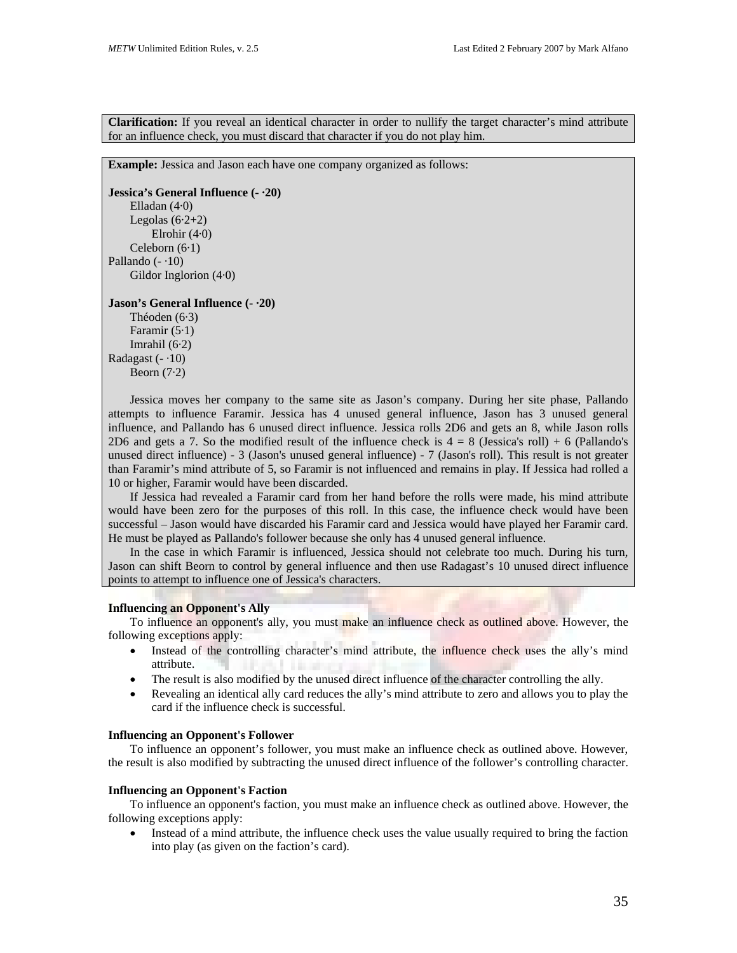**Clarification:** If you reveal an identical character in order to nullify the target character's mind attribute for an influence check, you must discard that character if you do not play him.

**Example:** Jessica and Jason each have one company organized as follows:

**Jessica's General Influence (- ·20)**  Elladan (4·0) Legolas  $(6.2+2)$ Elrohir (4·0) Celeborn (6·1) Pallando  $(-10)$ Gildor Inglorion (4·0)

## **Jason's General Influence (- ·20)**

Théoden (6·3) Faramir (5·1) Imrahil (6·2) Radagast  $(-10)$ Beorn  $(7.2)$ 

Jessica moves her company to the same site as Jason's company. During her site phase, Pallando attempts to influence Faramir. Jessica has 4 unused general influence, Jason has 3 unused general influence, and Pallando has 6 unused direct influence. Jessica rolls 2D6 and gets an 8, while Jason rolls 2D6 and gets a 7. So the modified result of the influence check is  $4 = 8$  (Jessica's roll) + 6 (Pallando's unused direct influence) - 3 (Jason's unused general influence) - 7 (Jason's roll). This result is not greater than Faramir's mind attribute of 5, so Faramir is not influenced and remains in play. If Jessica had rolled a 10 or higher, Faramir would have been discarded.

If Jessica had revealed a Faramir card from her hand before the rolls were made, his mind attribute would have been zero for the purposes of this roll. In this case, the influence check would have been successful – Jason would have discarded his Faramir card and Jessica would have played her Faramir card. He must be played as Pallando's follower because she only has 4 unused general influence.

In the case in which Faramir is influenced, Jessica should not celebrate too much. During his turn, Jason can shift Beorn to control by general influence and then use Radagast's 10 unused direct influence points to attempt to influence one of Jessica's characters.

## **Influencing an Opponent's Ally**

To influence an opponent's ally, you must make an influence check as outlined above. However, the following exceptions apply:

- Instead of the controlling character's mind attribute, the influence check uses the ally's mind attribute.
- The result is also modified by the unused direct influence of the character controlling the ally.
- Revealing an identical ally card reduces the ally's mind attribute to zero and allows you to play the card if the influence check is successful.

#### **Influencing an Opponent's Follower**

To influence an opponent's follower, you must make an influence check as outlined above. However, the result is also modified by subtracting the unused direct influence of the follower's controlling character.

#### **Influencing an Opponent's Faction**

To influence an opponent's faction, you must make an influence check as outlined above. However, the following exceptions apply:

• Instead of a mind attribute, the influence check uses the value usually required to bring the faction into play (as given on the faction's card).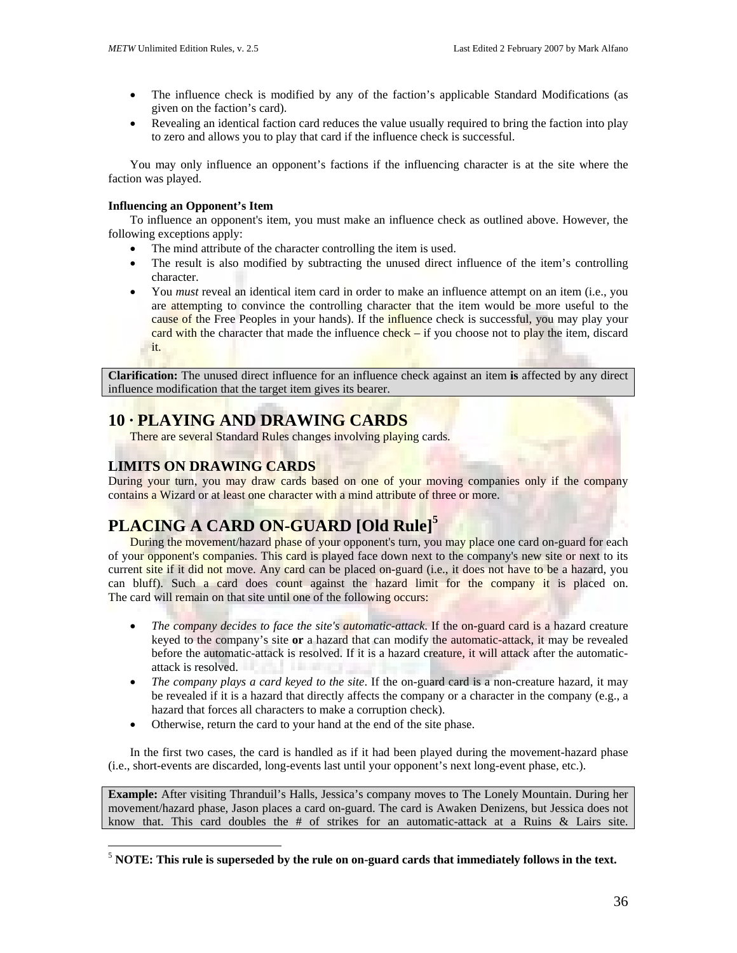- The influence check is modified by any of the faction's applicable Standard Modifications (as given on the faction's card).
- Revealing an identical faction card reduces the value usually required to bring the faction into play to zero and allows you to play that card if the influence check is successful.

You may only influence an opponent's factions if the influencing character is at the site where the faction was played.

## **Influencing an Opponent's Item**

To influence an opponent's item, you must make an influence check as outlined above. However, the following exceptions apply:

- The mind attribute of the character controlling the item is used.
- The result is also modified by subtracting the unused direct influence of the item's controlling character.
- You *must* reveal an identical item card in order to make an influence attempt on an item (i.e., you are attempting to convince the controlling character that the item would be more useful to the cause of the Free Peoples in your hands). If the **influence** check is successful, you may play your card with the character that made the influence  $\frac{\text{check}}{\text{check}} - \text{if}$  you choose not to play the item, discard it.

**Clarification:** The unused direct influence for an influence check against an item **is** affected by any direct influence modification that the target item gives its bearer.

# **10 · PLAYING AND DRAWING CARDS**

There are several Standard Rules changes involving playing cards.

# **LIMITS ON DRAWING CARDS**

 $\overline{a}$ 

During your turn, you may draw cards based on one of your moving companies only if the company contains a Wizard or at least one character with a mind attribute of three or more.

# **PLACING A CARD ON-GUARD [Old Rule][5](#page-35-0)**

During the movement/hazard phase of your opponent's turn, you may place one card on-guard for each of your opponent's companies. This card is played face down next to the company's new site or next to its current site if it did not move. Any card can be placed on-guard (i.e., it does not have to be a hazard, you can bluff). Such a card does count against the hazard limit for the company it is placed on. The card will remain on that site until one of the following occurs:

- *The company decides to face the site's automatic-attack*. If the on-guard card is a hazard creature keyed to the company's site **or** a hazard that can modify the automatic-attack, it may be revealed before the automatic-attack is resolved. If it is a hazard creature, it will attack after the automaticattack is resolved.
- *The company plays a card keyed to the site*. If the on-guard card is a non-creature hazard, it may be revealed if it is a hazard that directly affects the company or a character in the company (e.g., a hazard that forces all characters to make a corruption check).
- Otherwise, return the card to your hand at the end of the site phase.

In the first two cases, the card is handled as if it had been played during the movement-hazard phase (i.e., short-events are discarded, long-events last until your opponent's next long-event phase, etc.).

**Example:** After visiting Thranduil's Halls, Jessica's company moves to The Lonely Mountain. During her movement/hazard phase, Jason places a card on-guard. The card is Awaken Denizens, but Jessica does not know that. This card doubles the # of strikes for an automatic-attack at a Ruins & Lairs site.

<span id="page-35-0"></span> $<sup>5</sup>$  **NOTE:** This rule is superseded by the rule on on-guard cards that immediately follows in the text.</sup>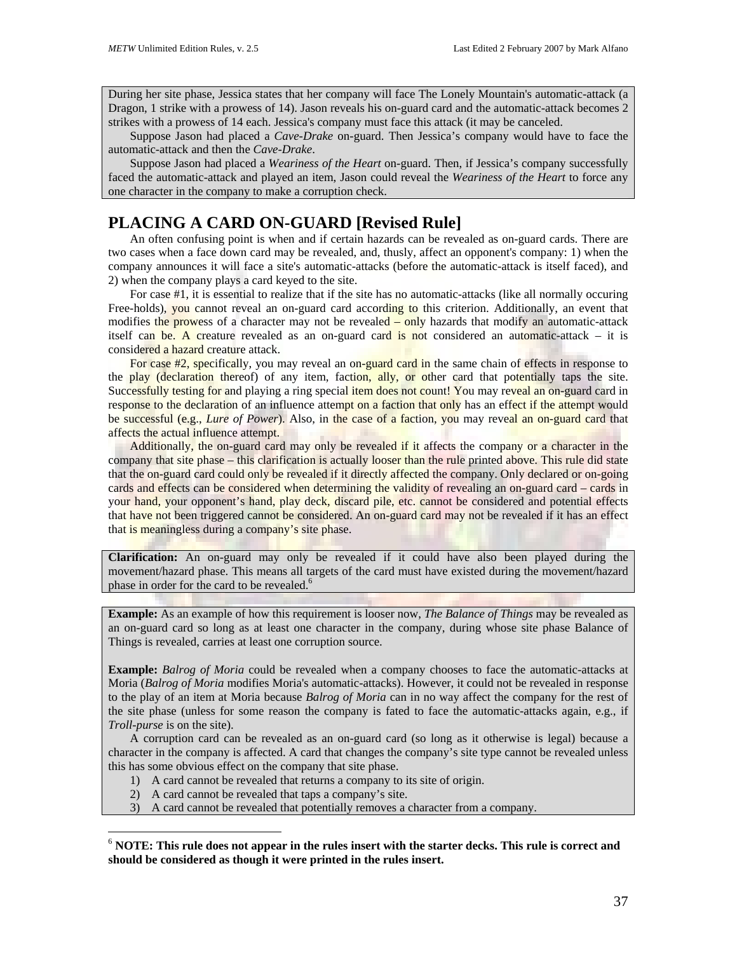During her site phase, Jessica states that her company will face The Lonely Mountain's automatic-attack (a Dragon, 1 strike with a prowess of 14). Jason reveals his on-guard card and the automatic-attack becomes 2 strikes with a prowess of 14 each. Jessica's company must face this attack (it may be canceled.

Suppose Jason had placed a *Cave-Drake* on-guard. Then Jessica's company would have to face the automatic-attack and then the *Cave-Drake*.

Suppose Jason had placed a *Weariness of the Heart* on-guard. Then, if Jessica's company successfully faced the automatic-attack and played an item, Jason could reveal the *Weariness of the Heart* to force any one character in the company to make a corruption check.

# **PLACING A CARD ON-GUARD [Revised Rule]**

An often confusing point is when and if certain hazards can be revealed as on-guard cards. There are two cases when a face down card may be revealed, and, thusly, affect an opponent's company: 1) when the company announces it will face a site's automatic-attacks (before the automatic-attack is itself faced), and 2) when the company plays a card keyed to the site.

For case #1, it is essential to realize that if the site has no automatic-attacks (like all normally occuring Free-holds), you cannot reveal an on-guard card according to this criterion. Additionally, an event that modifies the prowess of a character may not be revealed – only hazards that modify an automatic-attack itself can be. A creature revealed as an on-guard card is not considered an automatic-attack – it is considered a hazard creature attack.

For case #2, specifically, you may reveal an on-guard card in the same chain of effects in response to the play (declaration thereof) of any item, faction, ally, or other card that potentially taps the site. Successfully testing for and playing a ring special item does not count! You may reveal an on-guard card in response to the declaration of an influence attempt on a faction that only has an effect if the attempt would be successful (e.g., *Lure of Power*). Also, in the case of a faction, you may reveal an on-guard card that affects the actual influence attempt.

Additionally, the on-guard card may only be revealed if it affects the company or a character in the company that site phase – this clarification is actually looser than the rule printed above. This rule did state that the on-guard card could only be revealed if it directly affected the company. Only declared or on-going cards and effects can be considered when determining the validity of revealing an on-guard card – cards in your hand, your opponent's hand, play deck, discard pile, etc. cannot be considered and potential effects that have not been triggered cannot be considered. An on-guard card may not be revealed if it has an effect that is meaningless during a company's site phase.

**Clarification:** An on-guard may only be revealed if it could have also been played during the movement/hazard phase. This means all targets of the card must have existed during the movement/hazard phase in order for the card to be revealed.<sup>[6](#page-36-0)</sup>

**Example:** As an example of how this requirement is looser now, *The Balance of Things* may be revealed as an on-guard card so long as at least one character in the company, during whose site phase Balance of Things is revealed, carries at least one corruption source.

**Example:** *Balrog of Moria* could be revealed when a company chooses to face the automatic-attacks at Moria (*Balrog of Moria* modifies Moria's automatic-attacks). However, it could not be revealed in response to the play of an item at Moria because *Balrog of Moria* can in no way affect the company for the rest of the site phase (unless for some reason the company is fated to face the automatic-attacks again, e.g., if *Troll-purse* is on the site).

A corruption card can be revealed as an on-guard card (so long as it otherwise is legal) because a character in the company is affected. A card that changes the company's site type cannot be revealed unless this has some obvious effect on the company that site phase.

- 1) A card cannot be revealed that returns a company to its site of origin.
- 2) A card cannot be revealed that taps a company's site.

 $\overline{a}$ 

3) A card cannot be revealed that potentially removes a character from a company.

<span id="page-36-0"></span><sup>6</sup> **NOTE: This rule does not appear in the rules insert with the starter decks. This rule is correct and should be considered as though it were printed in the rules insert.**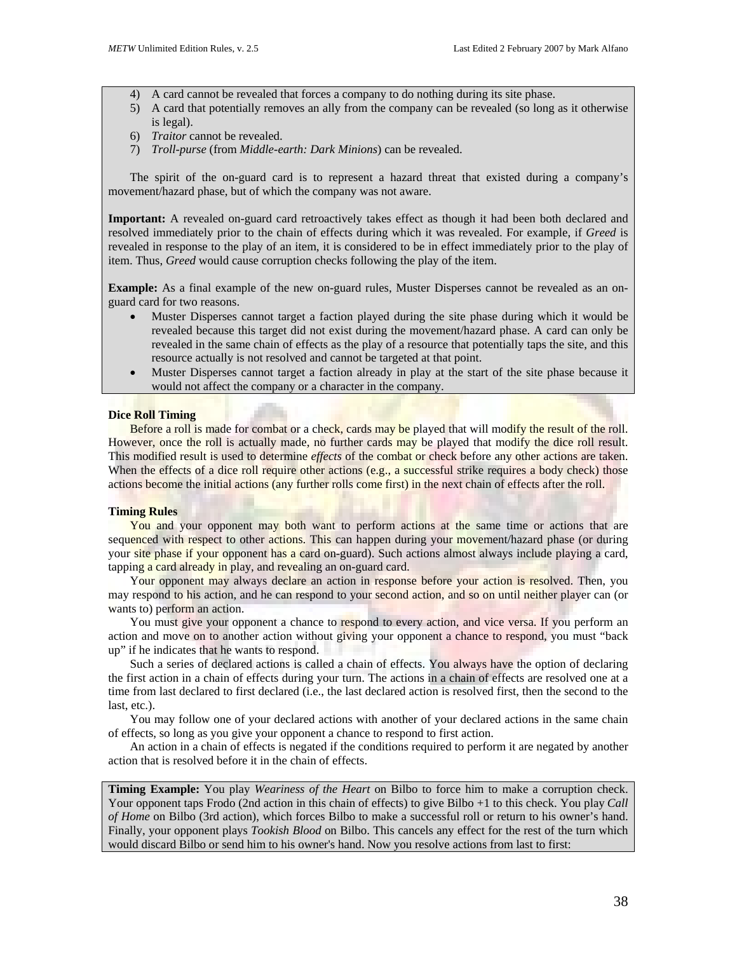- 4) A card cannot be revealed that forces a company to do nothing during its site phase.
- 5) A card that potentially removes an ally from the company can be revealed (so long as it otherwise is legal).
- 6) *Traitor* cannot be revealed.
- 7) *Troll-purse* (from *Middle-earth: Dark Minions*) can be revealed.

The spirit of the on-guard card is to represent a hazard threat that existed during a company's movement/hazard phase, but of which the company was not aware.

**Important:** A revealed on-guard card retroactively takes effect as though it had been both declared and resolved immediately prior to the chain of effects during which it was revealed. For example, if *Greed* is revealed in response to the play of an item, it is considered to be in effect immediately prior to the play of item. Thus, *Greed* would cause corruption checks following the play of the item.

**Example:** As a final example of the new on-guard rules, Muster Disperses cannot be revealed as an onguard card for two reasons.

- Muster Disperses cannot target a faction played during the site phase during which it would be revealed because this target did not exist during the movement/hazard phase. A card can only be revealed in the same chain of effects as the play of a resource that potentially taps the site, and this resource actually is not resolved and cannot be targeted at that point.
- Muster Disperses cannot target a faction already in play at the start of the site phase because it would not affect the company or a character in the company.

### **Dice Roll Timing**

Before a roll is made for combat or a check, cards may be played that will modify the result of the roll. However, once the roll is actually made, no further cards may be played that modify the dice roll result. This modified result is used to determine *effects* of the combat or check before any other actions are taken. When the effects of a dice roll require other actions  $(e.g., a successful strike requires a body check)$  those actions become the initial actions (any further rolls come first) in the next chain of effects after the roll.

### **Timing Rules**

You and your opponent may both want to perform actions at the same time or actions that are sequenced with respect to other actions. This can happen during your movement/hazard phase (or during your site phase if your opponent has a card on-guard). Such actions almost always include playing a card, tapping a card already in play, and revealing an on-guard card.

Your opponent may always declare an action in response before your action is resolved. Then, you may respond to his action, and he can respond to your second action, and so on until neither player can (or wants to) perform an action.

You must give your opponent a chance to respond to every action, and vice versa. If you perform an action and move on to another action without giving your opponent a chance to respond, you must "back up" if he indicates that he wants to respond.

Such a series of declared actions is called a chain of effects. You always have the option of declaring the first action in a chain of effects during your turn. The actions in a chain of effects are resolved one at a time from last declared to first declared (i.e., the last declared action is resolved first, then the second to the last, etc.).

You may follow one of your declared actions with another of your declared actions in the same chain of effects, so long as you give your opponent a chance to respond to first action.

An action in a chain of effects is negated if the conditions required to perform it are negated by another action that is resolved before it in the chain of effects.

**Timing Example:** You play *Weariness of the Heart* on Bilbo to force him to make a corruption check. Your opponent taps Frodo (2nd action in this chain of effects) to give Bilbo +1 to this check. You play *Call of Home* on Bilbo (3rd action), which forces Bilbo to make a successful roll or return to his owner's hand. Finally, your opponent plays *Tookish Blood* on Bilbo. This cancels any effect for the rest of the turn which would discard Bilbo or send him to his owner's hand. Now you resolve actions from last to first: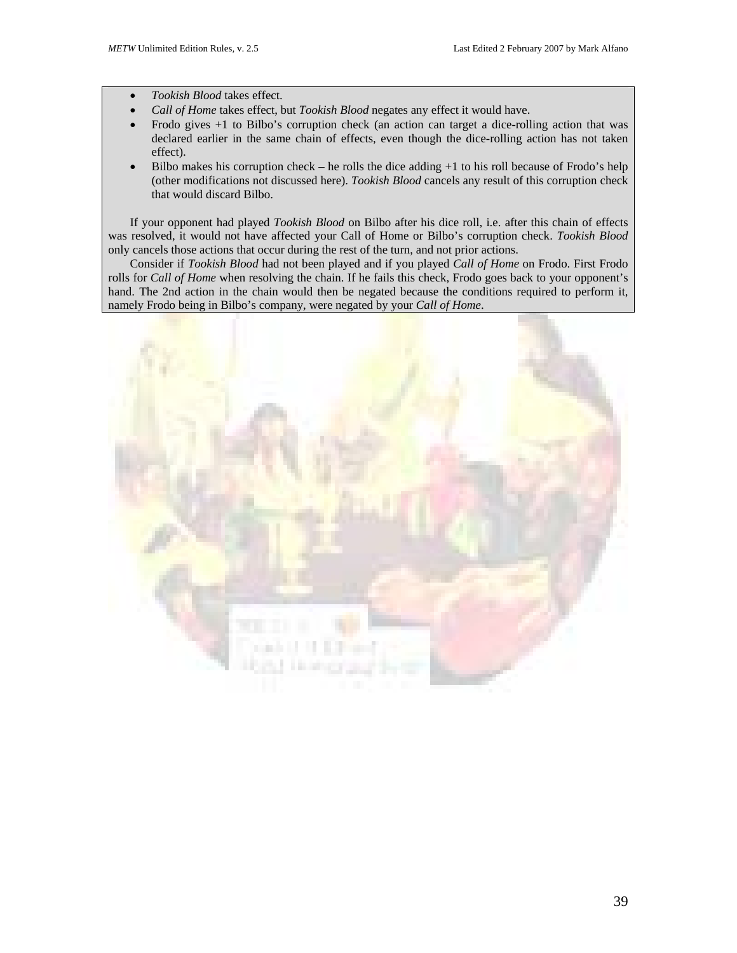- *Tookish Blood* takes effect.
- *Call of Home* takes effect, but *Tookish Blood* negates any effect it would have.
- Frodo gives +1 to Bilbo's corruption check (an action can target a dice-rolling action that was declared earlier in the same chain of effects, even though the dice-rolling action has not taken effect).
- Bilbo makes his corruption check he rolls the dice adding  $+1$  to his roll because of Frodo's help (other modifications not discussed here). *Tookish Blood* cancels any result of this corruption check that would discard Bilbo.

If your opponent had played *Tookish Blood* on Bilbo after his dice roll, i.e. after this chain of effects was resolved, it would not have affected your Call of Home or Bilbo's corruption check. *Tookish Blood* only cancels those actions that occur during the rest of the turn, and not prior actions.

Consider if *Tookish Blood* had not been played and if you played *Call of Home* on Frodo. First Frodo rolls for *Call of Home* when resolving the chain. If he fails this check, Frodo goes back to your opponent's hand. The 2nd action in the chain would then be negated because the conditions required to perform it, namely Frodo being in Bilbo's company, were negated by your *Call of Home*.

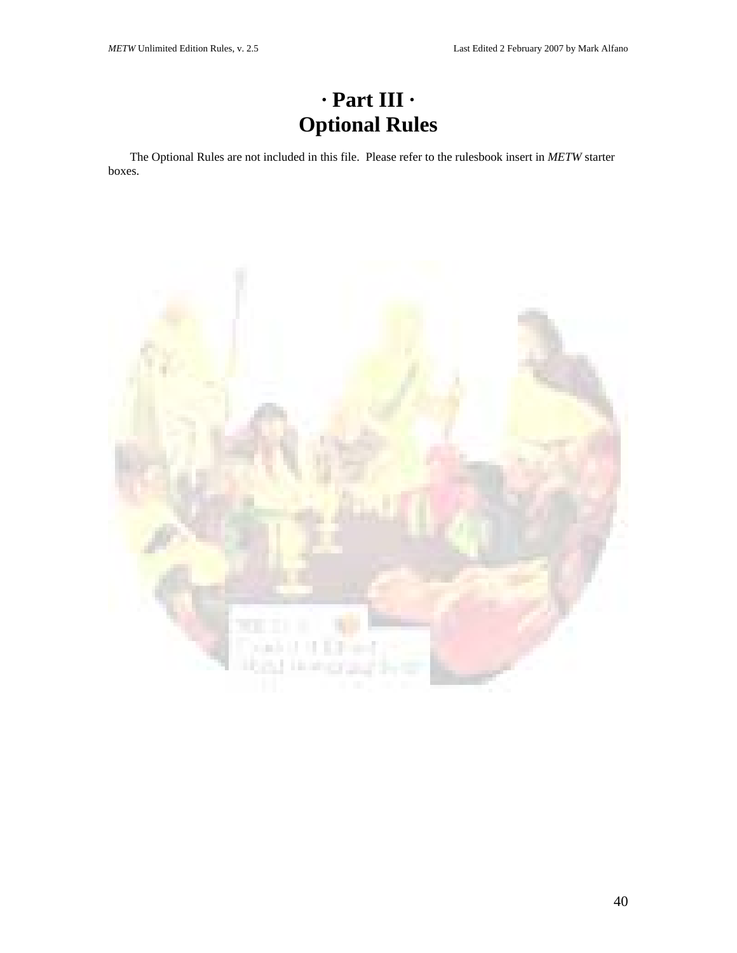# **· Part III · Optional Rules**

The Optional Rules are not included in this file. Please refer to the rulesbook insert in *METW* starter boxes.

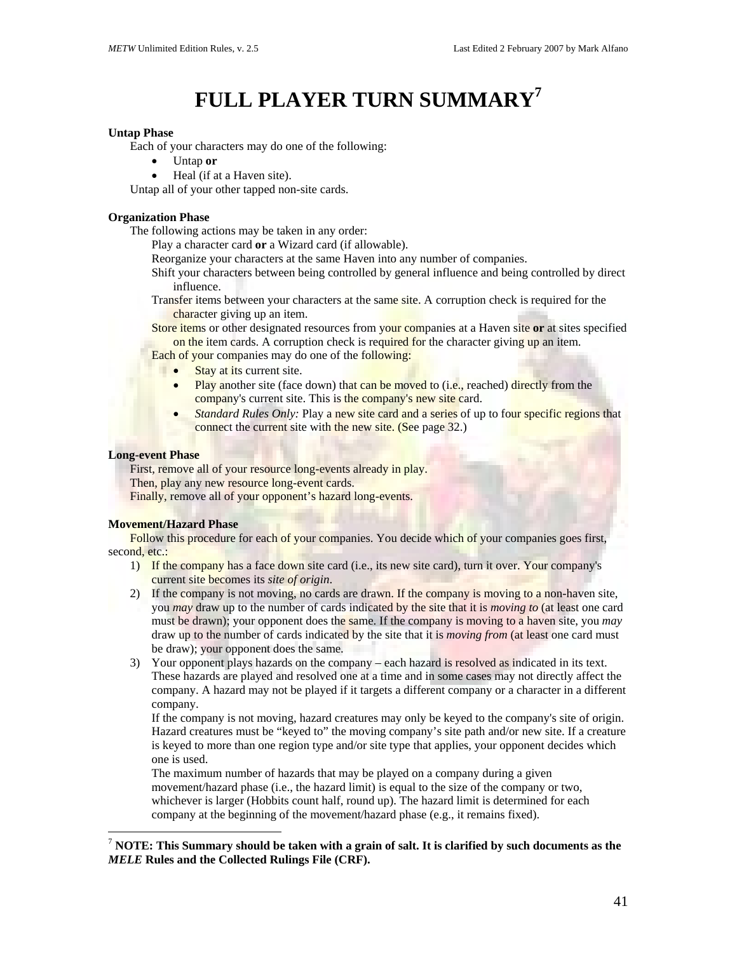# **FULL PLAYER TURN SUMMAR[Y7](#page-40-0)**

#### **Untap Phase**

Each of your characters may do one of the following:

- Untap **or**
- Heal (if at a Haven site).

Untap all of your other tapped non-site cards.

## **Organization Phase**

The following actions may be taken in any order:

Play a character card **or** a Wizard card (if allowable).

Reorganize your characters at the same Haven into any number of companies.

- Shift your characters between being controlled by general influence and being controlled by direct influence.
- Transfer items between your characters at the same site. A corruption check is required for the character giving up an item.
- Store items or other designated resources from your companies at a Haven site **or** at sites specified on the item cards. A corruption check is required for the character giving up an item.
- Each of your companies may do one of the following:
	- **•** Stay at its current site.
		- Play another site (face down) that can be moved to (i.e., reached) directly from the company's current site. This is the company's new site card.
		- *Standard Rules Only:* Play a new site card and a series of up to four specific regions that connect the current site with the new site. (See page 32.)

### **Long-event Phase**

 $\overline{a}$ 

First, remove all of your resource long-events already in play.

Then, play any new resource long-event cards.

Finally, remove all of your opponent's hazard long-events.

### **Movement/Hazard Phase**

Follow this procedure for each of your companies. You decide which of your companies goes first, second, etc.:

- 1) If the company has a face down site card (i.e., its new site card), turn it over. Your company's current site becomes its *site of origin*.
- 2) If the company is not moving, no cards are drawn. If the company is moving to a non-haven site, you *may* draw up to the number of cards indicated by the site that it is *moving to* (at least one card must be drawn); your opponent does the same. If the company is moving to a haven site, you *may* draw up to the number of cards indicated by the site that it is *moving from* (at least one card must be draw); your opponent does the same.
- 3) Your opponent plays hazards on the company each hazard is resolved as indicated in its text. These hazards are played and resolved one at a time and in some cases may not directly affect the company. A hazard may not be played if it targets a different company or a character in a different company.

If the company is not moving, hazard creatures may only be keyed to the company's site of origin. Hazard creatures must be "keyed to" the moving company's site path and/or new site. If a creature is keyed to more than one region type and/or site type that applies, your opponent decides which one is used.

The maximum number of hazards that may be played on a company during a given movement/hazard phase (i.e., the hazard limit) is equal to the size of the company or two, whichever is larger (Hobbits count half, round up). The hazard limit is determined for each company at the beginning of the movement/hazard phase (e.g., it remains fixed).

<span id="page-40-0"></span><sup>7</sup> **NOTE: This Summary should be taken with a grain of salt. It is clarified by such documents as the**  *MELE* **Rules and the Collected Rulings File (CRF).**